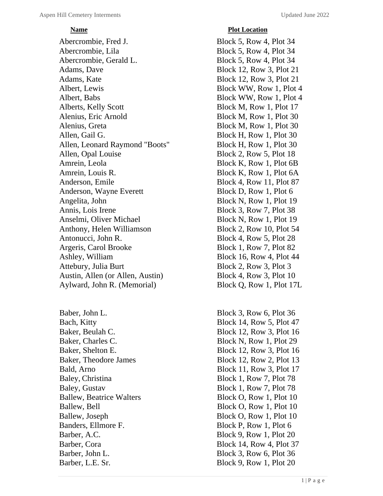Abercrombie, Fred J. Block 5, Row 4, Plot 34 Abercrombie, Lila Block 5, Row 4, Plot 34 Abercrombie, Gerald L. Block 5, Row 4, Plot 34 Adams, Dave Block 12, Row 3, Plot 21 Adams, Kate Block 12, Row 3, Plot 21 Albert, Lewis Block WW, Row 1, Plot 4 Albert, Babs Block WW, Row 1, Plot 4 Alberts, Kelly Scott Block M, Row 1, Plot 17 Alenius, Eric Arnold Block M, Row 1, Plot 30 Alenius, Greta Block M, Row 1, Plot 30 Allen, Gail G. Block H, Row 1, Plot 30 Allen, Leonard Raymond "Boots" Block H, Row 1, Plot 30 Allen, Opal Louise Block 2, Row 5, Plot 18 Amrein, Leola Block K, Row 1, Plot 6B Amrein, Louis R. Block K, Row 1, Plot 6A Anderson, Emile Block 4, Row 11, Plot 87 Anderson, Wayne Everett Block D, Row 1, Plot 6 Angelita, John Block N, Row 1, Plot 19 Annis, Lois Irene Block 3, Row 7, Plot 38 Anselmi, Oliver Michael Block N, Row 1, Plot 19 Anthony, Helen Williamson Block 2, Row 10, Plot 54 Antonucci, John R. Block 4, Row 5, Plot 28 Argeris, Carol Brooke Block 1, Row 7, Plot 82 Ashley, William Block 16, Row 4, Plot 44 Attebury, Julia Burt Block 2, Row 3, Plot 3 Austin, Allen (or Allen, Austin) Block 4, Row 3, Plot 10 Aylward, John R. (Memorial) Block Q, Row 1, Plot 17L

Baber, John L. Block 3, Row 6, Plot 36 Bach, Kitty Block 14, Row 5, Plot 47 Baker, Beulah C. Block 12, Row 3, Plot 16 Baker, Charles C. Block N, Row 1, Plot 29 Baker, Shelton E. Block 12, Row 3, Plot 16 Baker, Theodore James Block 12, Row 2, Plot 13 Bald, Arno Block 11, Row 3, Plot 17 Baley, Christina Block 1, Row 7, Plot 78 Baley, Gustav Block 1, Row 7, Plot 78 Ballew, Beatrice Walters Block O, Row 1, Plot 10 Ballew, Bell Block O, Row 1, Plot 10 Ballew, Joseph Block O, Row 1, Plot 10 Banders, Ellmore F. Block P, Row 1, Plot 6 Barber, A.C. Block 9, Row 1, Plot 20 Barber, Cora Block 14, Row 4, Plot 37 Barber, John L. Block 3, Row 6, Plot 36 Barber, L.E. Sr. Block 9, Row 1, Plot 20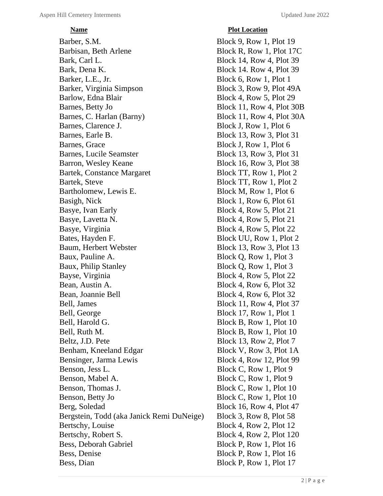# *<u>Plot Location</u>*

Barber, S.M. Block 9, Row 1, Plot 19 Barbisan, Beth Arlene Block R, Row 1, Plot 17C Bark, Carl L. Block 14, Row 4, Plot 39 Bark, Dena K. Block 14. Row 4, Plot 39 Barker, L.E., Jr. Block 6, Row 1, Plot 1 Barker, Virginia Simpson Block 3, Row 9, Plot 49A Barlow, Edna Blair Block 4, Row 5, Plot 29 Barnes, Betty Jo Block 11, Row 4, Plot 30B Barnes, C. Harlan (Barny) Block 11, Row 4, Plot 30A Barnes, Clarence J. Block J, Row 1, Plot 6 Barnes, Earle B. Block 13, Row 3, Plot 31 Barnes, Grace Block J, Row 1, Plot 6 Barnes, Lucile Seamster Block 13, Row 3, Plot 31 Barron, Wesley Keane Block 16, Row 3, Plot 38 Bartek, Constance Margaret Block TT, Row 1, Plot 2 Bartek, Steve Block TT, Row 1, Plot 2 Bartholomew, Lewis E. Block M, Row 1, Plot 6 Basigh, Nick Block 1, Row 6, Plot 61 Basye, Ivan Early Block 4, Row 5, Plot 21 Basye, Lavetta N. Block 4, Row 5, Plot 21 Basye, Virginia Block 4, Row 5, Plot 22 Bates, Hayden F. Block UU, Row 1, Plot 2 Baum, Herbert Webster Block 13, Row 3, Plot 13 Baux, Pauline A. Block Q, Row 1, Plot 3 Baux, Philip Stanley Block Q, Row 1, Plot 3 Bayse, Virginia Block 4, Row 5, Plot 22 Bean, Austin A. Block 4, Row 6, Plot 32 Bean, Joannie Bell Block 4, Row 6, Plot 32 Bell, James Block 11, Row 4, Plot 37 Bell, George Block 17, Row 1, Plot 1 Bell, Harold G. Block B, Row 1, Plot 10 Bell, Ruth M. Block B, Row 1, Plot 10 Beltz, J.D. Pete Block 13, Row 2, Plot 7 Benham, Kneeland Edgar Block V, Row 3, Plot 1A Bensinger, Jarma Lewis Block 4, Row 12, Plot 99 Benson, Jess L. Block C, Row 1, Plot 9 Benson, Mabel A. Block C, Row 1, Plot 9 Benson, Thomas J. Block C, Row 1, Plot 10 Benson, Betty Jo Block C, Row 1, Plot 10 Berg, Soledad Block 16, Row 4, Plot 47 Bergstein, Todd (aka Janick Remi DuNeige) Block 3, Row 8, Plot 58 Bertschy, Louise Block 4, Row 2, Plot 12 Bertschy, Robert S. Block 4, Row 2, Plot 120 Bess, Deborah Gabriel Block P, Row 1, Plot 16 Bess, Denise Block P, Row 1, Plot 16 Bess, Dian Block P, Row 1, Plot 17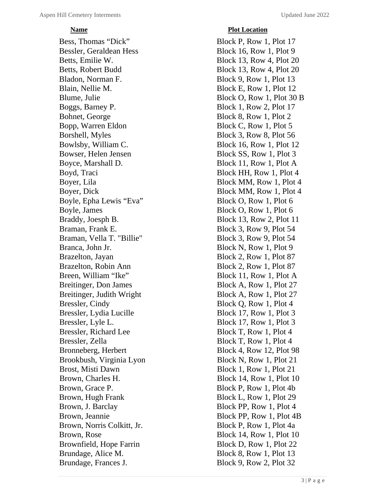Bess, Thomas "Dick" Block P, Row 1, Plot 17 Bessler, Geraldean Hess Block 16, Row 1, Plot 9 Betts, Emilie W. Block 13, Row 4, Plot 20 Betts, Robert Budd Block 13, Row 4, Plot 20 Bladon, Norman F. Block 9, Row 1, Plot 13 Blain, Nellie M. Block E, Row 1, Plot 12 Blume, Julie Block O, Row 1, Plot 30 B Boggs, Barney P. Block 1, Row 2, Plot 17 Bohnet, George Block 8, Row 1, Plot 2 Bopp, Warren Eldon Block C, Row 1, Plot 5 Borshell, Myles Block 3, Row 8, Plot 56 Bowlsby, William C. Block 16, Row 1, Plot 12 Bowser, Helen Jensen Block SS, Row 1, Plot 3 Boyce, Marshall D. Block 11, Row 1, Plot A Boyd, Traci Block HH, Row 1, Plot 4 Boyer, Lila Block MM, Row 1, Plot 4 Boyer, Dick Block MM, Row 1, Plot 4 Boyle, Epha Lewis "Eva" Block O, Row 1, Plot 6 Boyle, James Block O, Row 1, Plot 6 Braddy, Joesph B. Block 13, Row 2, Plot 11 Braman, Frank E. Block 3, Row 9, Plot 54 Braman, Vella T. "Billie" Block 3, Row 9, Plot 54 Branca, John Jr. Block N, Row 1, Plot 9 Brazelton, Jayan Block 2, Row 1, Plot 87 Brazelton, Robin Ann Block 2, Row 1, Plot 87 Breen, William "Ike" Block 11, Row 1, Plot A Breitinger, Don James Block A, Row 1, Plot 27 Breitinger, Judith Wright Block A, Row 1, Plot 27 Bressler, Cindy Block Q, Row 1, Plot 4 Bressler, Lydia Lucille Block 17, Row 1, Plot 3 Bressler, Lyle L. Block 17, Row 1, Plot 3 Bressler, Richard Lee Block T, Row 1, Plot 4 Bressler, Zella Block T, Row 1, Plot 4 Bronneberg, Herbert Block 4, Row 12, Plot 98 Brookbush, Virginia Lyon Block N, Row 1, Plot 21 Brost, Misti Dawn Block 1, Row 1, Plot 21 Brown, Charles H. Block 14, Row 1, Plot 10 Brown, Grace P. Block P, Row 1, Plot 4b Brown, Hugh Frank Block L, Row 1, Plot 29 Brown, J. Barclay Block PP, Row 1, Plot 4 Brown, Jeannie Block PP, Row 1, Plot 4B Brown, Norris Colkitt, Jr. Block P, Row 1, Plot 4a Brown, Rose Block 14, Row 1, Plot 10 Brownfield, Hope Farrin Block D, Row 1, Plot 22 Brundage, Alice M. Block 8, Row 1, Plot 13 Brundage, Frances J. Block 9, Row 2, Plot 32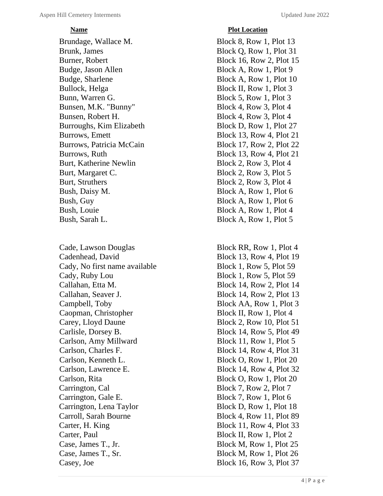Brundage, Wallace M. Block 8, Row 1, Plot 13 Brunk, James Block Q, Row 1, Plot 31 Burner, Robert Block 16, Row 2, Plot 15 Budge, Jason Allen Block A, Row 1, Plot 9 Budge, Sharlene Block A, Row 1, Plot 10 Bullock, Helga Block II, Row 1, Plot 3 Bunn, Warren G. Block 5, Row 1, Plot 3 Bunsen, M.K. "Bunny" Block 4, Row 3, Plot 4 Bunsen, Robert H. Block 4, Row 3, Plot 4 Burroughs, Kim Elizabeth Block D, Row 1, Plot 27 Burrows, Emett Block 13, Row 4, Plot 21 Burrows, Patricia McCain Block 17, Row 2, Plot 22 Burrows, Ruth Block 13, Row 4, Plot 21 Burt, Katherine Newlin Block 2, Row 3, Plot 4 Burt, Margaret C. Block 2, Row 3, Plot 5 Burt, Struthers Block 2, Row 3, Plot 4 Bush, Daisy M. Block A, Row 1, Plot 6 Bush, Guy Block A, Row 1, Plot 6 Bush, Louie Block A, Row 1, Plot 4 Bush, Sarah L. Block A, Row 1, Plot 5

Cade, Lawson Douglas Block RR, Row 1, Plot 4 Cadenhead, David Block 13, Row 4, Plot 19 Cady, No first name available Block 1, Row 5, Plot 59 Cady, Ruby Lou Block 1, Row 5, Plot 59 Callahan, Etta M. Block 14, Row 2, Plot 14 Callahan, Seaver J. Block 14, Row 2, Plot 13 Campbell, Toby Block AA, Row 1, Plot 3 Caopman, Christopher Block II, Row 1, Plot 4 Carey, Lloyd Daune Block 2, Row 10, Plot 51 Carlisle, Dorsey B. Block 14, Row 5, Plot 49 Carlson, Amy Millward Block 11, Row 1, Plot 5 Carlson, Charles F. Block 14, Row 4, Plot 31 Carlson, Kenneth L. Block O, Row 1, Plot 20 Carlson, Lawrence E. Block 14, Row 4, Plot 32 Carlson, Rita Block O, Row 1, Plot 20 Carrington, Cal Block 7, Row 2, Plot 7 Carrington, Gale E. Block 7, Row 1, Plot 6 Carrington, Lena Taylor Block D, Row 1, Plot 18 Carroll, Sarah Bourne Block 4, Row 11, Plot 89 Carter, H. King Block 11, Row 4, Plot 33 Carter, Paul Block II, Row 1, Plot 2 Case, James T., Jr. Block M, Row 1, Plot 25 Case, James T., Sr. Block M, Row 1, Plot 26 Casey, Joe Block 16, Row 3, Plot 37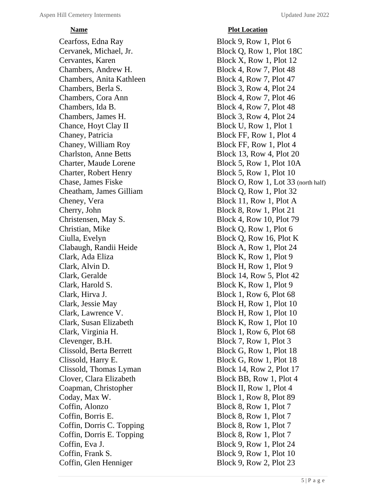# *<u>Plot Location</u>*

Cearfoss, Edna Ray Block 9, Row 1, Plot 6 Cervanek, Michael, Jr. Block Q, Row 1, Plot 18C Cervantes, Karen Block X, Row 1, Plot 12 Chambers, Andrew H. Block 4, Row 7, Plot 48 Chambers, Anita Kathleen Block 4, Row 7, Plot 47 Chambers, Berla S. Block 3, Row 4, Plot 24 Chambers, Cora Ann Block 4, Row 7, Plot 46 Chambers, Ida B. Block 4, Row 7, Plot 48 Chambers, James H. Block 3, Row 4, Plot 24 Chance, Hoyt Clay II Block U, Row 1, Plot 1 Chaney, Patricia Block FF, Row 1, Plot 4 Chaney, William Roy Block FF, Row 1, Plot 4 Charlston, Anne Betts Block 13, Row 4, Plot 20 Charter, Maude Lorene Block 5, Row 1, Plot 10A Charter, Robert Henry Block 5, Row 1, Plot 10 Cheatham, James Gilliam Block Q, Row 1, Plot 32 Cheney, Vera Block 11, Row 1, Plot A Cherry, John Block 8, Row 1, Plot 21 Christensen, May S. Block 4, Row 10, Plot 79 Christian, Mike Block Q, Row 1, Plot 6 Ciulla, Evelyn Block Q, Row 16, Plot K Clabaugh, Randii Heide Block A, Row 1, Plot 24 Clark, Ada Eliza Block K, Row 1, Plot 9 Clark, Alvin D. Block H, Row 1, Plot 9 Clark, Geralde Block 14, Row 5, Plot 42 Clark, Harold S. Block K, Row 1, Plot 9 Clark, Hirva J. Block 1, Row 6, Plot 68 Clark, Jessie May Block H, Row 1, Plot 10 Clark, Lawrence V. Block H, Row 1, Plot 10 Clark, Susan Elizabeth Block K, Row 1, Plot 10 Clark, Virginia H. Block 1, Row 6, Plot 68 Clevenger, B.H. Block 7, Row 1, Plot 3 Clissold, Berta Berrett Block G, Row 1, Plot 18 Clissold, Harry E. Block G, Row 1, Plot 18 Clissold, Thomas Lyman Block 14, Row 2, Plot 17 Clover, Clara Elizabeth Block BB, Row 1, Plot 4 Coapman, Christopher Block II, Row 1, Plot 4 Coday, Max W. Block 1, Row 8, Plot 89 Coffin, Alonzo Block 8, Row 1, Plot 7 Coffin, Borris E. Block 8, Row 1, Plot 7 Coffin, Dorris C. Topping Block 8, Row 1, Plot 7 Coffin, Dorris E. Topping Block 8, Row 1, Plot 7 Coffin, Eva J. Block 9, Row 1, Plot 24 Coffin, Frank S. Block 9, Row 1, Plot 10 Coffin, Glen Henniger Block 9, Row 2, Plot 23

Chase, James Fiske Block O, Row 1, Lot 33 (north half)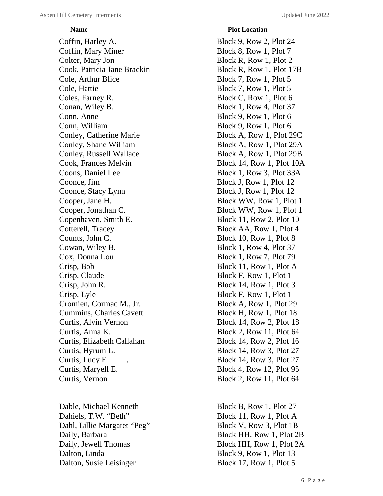Coffin, Harley A. Block 9, Row 2, Plot 24 Coffin, Mary Miner Block 8, Row 1, Plot 7 Colter, Mary Jon Block R, Row 1, Plot 2 Cook, Patricia Jane Brackin Block R, Row 1, Plot 17B Cole, Arthur Blice Block 7, Row 1, Plot 5 Cole, Hattie Block 7, Row 1, Plot 5 Coles, Farney R. Block C, Row 1, Plot 6 Conan, Wiley B. Block 1, Row 4, Plot 37 Conn, Anne Block 9, Row 1, Plot 6 Conn, William Block 9, Row 1, Plot 6 Conley, Catherine Marie Block A, Row 1, Plot 29C Conley, Shane William Block A, Row 1, Plot 29A Conley, Russell Wallace Block A, Row 1, Plot 29B Cook, Frances Melvin Block 14, Row 1, Plot 10A Coons, Daniel Lee Block 1, Row 3, Plot 33A Coonce, Jim Block J, Row 1, Plot 12 Coonce, Stacy Lynn Block J, Row 1, Plot 12 Cooper, Jane H. Block WW, Row 1, Plot 1 Cooper, Jonathan C. Block WW, Row 1, Plot 1 Copenhaven, Smith E. Block 11, Row 2, Plot 10 Cotterell, Tracey Block AA, Row 1, Plot 4 Counts, John C. Block 10, Row 1, Plot 8 Cowan, Wiley B. Block 1, Row 4, Plot 37 Cox, Donna Lou Block 1, Row 7, Plot 79 Crisp, Bob Block 11, Row 1, Plot A Crisp, Claude Block F, Row 1, Plot 1 Crisp, John R. Block 14, Row 1, Plot 3 Crisp, Lyle Block F, Row 1, Plot 1 Cromien, Cormac M., Jr. Block A, Row 1, Plot 29 Cummins, Charles Cavett Block H, Row 1, Plot 18 Curtis, Alvin Vernon Block 14, Row 2, Plot 18 Curtis, Anna K. Block 2, Row 11, Plot 64 Curtis, Elizabeth Callahan Block 14, Row 2, Plot 16 Curtis, Hyrum L. Block 14, Row 3, Plot 27 Curtis, Lucy E . Block 14, Row 3, Plot 27 Curtis, Maryell E. Block 4, Row 12, Plot 95 Curtis, Vernon Block 2, Row 11, Plot 64

Dable, Michael Kenneth Block B, Row 1, Plot 27 Dahiels, T.W. "Beth" Block 11, Row 1, Plot A Dahl, Lillie Margaret "Peg" Block V, Row 3, Plot 1B Daily, Barbara Block HH, Row 1, Plot 2B Daily, Jewell Thomas Block HH, Row 1, Plot 2A Dalton, Linda Block 9, Row 1, Plot 13 Dalton, Susie Leisinger Block 17, Row 1, Plot 5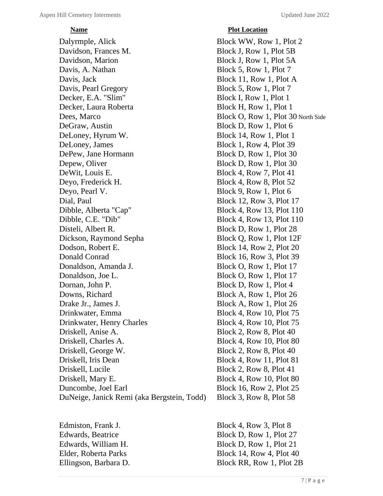Dalyrmple, Alick Block WW, Row 1, Plot 2 Davidson, Frances M. Block J, Row 1, Plot 5B Davidson, Marion Block J, Row 1, Plot 5A Davis, A. Nathan Block 5, Row 1, Plot 7 Davis, Jack Block 11, Row 1, Plot A Davis, Pearl Gregory Block 5, Row 1, Plot 7 Decker, E.A. "Slim" Block I, Row 1, Plot 1 Decker, Laura Roberta Block H, Row 1, Plot 1 Dees, Marco Block O, Row 1, Plot 30 North Side DeGraw, Austin Block D, Row 1, Plot 6 DeLoney, Hyrum W. Block 14, Row 1, Plot 1 DeLoney, James Block 1, Row 4, Plot 39 DePew, Jane Hormann Block D, Row 1, Plot 30 Depew, Oliver Block D, Row 1, Plot 30 DeWit, Louis E. Block 4, Row 7, Plot 41 Deyo, Frederick H. Block 4, Row 8, Plot 52 Deyo, Pearl V. Block 9, Row 1, Plot 6 Dial, Paul Block 12, Row 3, Plot 17 Dibble, Alberta "Cap" Block 4, Row 13, Plot 110 Dibble, C.E. "Dib" Block 4, Row 13, Plot 110 Disteli, Albert R. Block D, Row 1, Plot 28 Dickson, Raymond Sepha Block Q, Row 1, Plot 12F Dodson, Robert E. Block 14, Row 2, Plot 20 Donald Conrad Block 16, Row 3, Plot 39 Donaldson, Amanda J. Block O, Row 1, Plot 17 Donaldson, Joe L. Block O, Row 1, Plot 17 Dornan, John P. Block D, Row 1, Plot 4 Downs, Richard Block A, Row 1, Plot 26 Drake Jr., James J. Block A, Row 1, Plot 26 Drinkwater, Emma Block 4, Row 10, Plot 75 Drinkwater, Henry Charles Block 4, Row 10, Plot 75 Driskell, Anise A. Block 2, Row 8, Plot 40 Driskell, Charles A. Block 4, Row 10, Plot 80 Driskell, George W. Block 2, Row 8, Plot 40 Driskell, Iris Dean Block 4, Row 11, Plot 81 Driskell, Lucile Block 2, Row 8, Plot 41 Driskell, Mary E. Block 4, Row 10, Plot 80 Duncombe, Joel Earl Block 16, Row 2, Plot 25 DuNeige, Janick Remi (aka Bergstein, Todd) Block 3, Row 8, Plot 58

# *<u>Plot Location</u>*

Edmiston, Frank J. Block 4, Row 3, Plot 8 Edwards, Beatrice Block D, Row 1, Plot 27 Edwards, William H. Block D, Row 1, Plot 21 Elder, Roberta Parks Block 14, Row 4, Plot 40 Ellingson, Barbara D. Block RR, Row 1, Plot 2B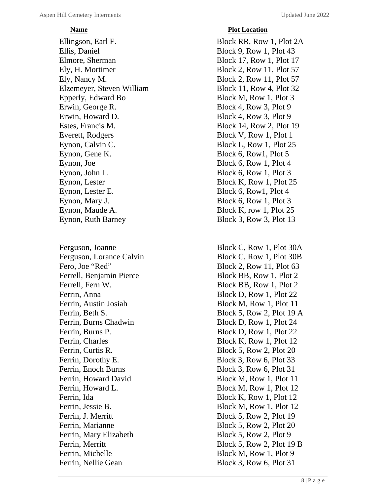Ellingson, Earl F. Block RR, Row 1, Plot 2A Ellis, Daniel Block 9, Row 1, Plot 43 Elmore, Sherman Block 17, Row 1, Plot 17 Ely, H. Mortimer Block 2, Row 11, Plot 57 Ely, Nancy M. Block 2, Row 11, Plot 57 Elzemeyer, Steven William Block 11, Row 4, Plot 32 Epperly, Edward Bo Block M, Row 1, Plot 3 Erwin, George R. Block 4, Row 3, Plot 9 Erwin, Howard D. Block 4, Row 3, Plot 9 Estes, Francis M. Block 14, Row 2, Plot 19 Everett, Rodgers Block V, Row 1, Plot 1 Eynon, Calvin C. Block L, Row 1, Plot 25 Eynon, Gene K. Block 6, Row1, Plot 5 Eynon, Joe Block 6, Row 1, Plot 4 Eynon, John L. Block 6, Row 1, Plot 3 Eynon, Lester Block K, Row 1, Plot 25 Eynon, Lester E. Block 6, Row1, Plot 4 Eynon, Mary J. Block 6, Row 1, Plot 3 Eynon, Maude A. Block K, row 1, Plot 25 Eynon, Ruth Barney Block 3, Row 3, Plot 13

Ferrell, Benjamin Pierce Block BB, Row 1, Plot 2 Ferrell, Fern W. Block BB, Row 1, Plot 2 Ferrin, Anna Block D, Row 1, Plot 22 Ferrin, Austin Josiah Block M, Row 1, Plot 11 Ferrin, Burns Chadwin Block D, Row 1, Plot 24 Ferrin, Burns P. Block D, Row 1, Plot 22 Ferrin, Charles Block K, Row 1, Plot 12 Ferrin, Curtis R. Block 5, Row 2, Plot 20 Ferrin, Dorothy E. Block 3, Row 6, Plot 33 Ferrin, Enoch Burns Block 3, Row 6, Plot 31 Ferrin, Howard David Block M, Row 1, Plot 11 Ferrin, Howard L. Block M, Row 1, Plot 12 Ferrin, Ida Block K, Row 1, Plot 12 Ferrin, Jessie B. Block M, Row 1, Plot 12 Ferrin, J. Merritt Block 5, Row 2, Plot 19 Ferrin, Marianne Block 5, Row 2, Plot 20 Ferrin, Mary Elizabeth Block 5, Row 2, Plot 9 Ferrin, Michelle Block M, Row 1, Plot 9 Ferrin, Nellie Gean Block 3, Row 6, Plot 31

# *<u>Plot Location</u>*

Ferguson, Joanne Block C, Row 1, Plot 30A Ferguson, Lorance Calvin Block C, Row 1, Plot 30B Fero, Joe "Red" Block 2, Row 11, Plot 63 Ferrin, Beth S. Block 5, Row 2, Plot 19 A Ferrin, Merritt Block 5, Row 2, Plot 19 B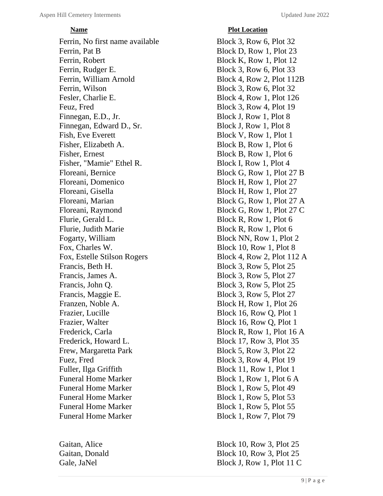Ferrin, No first name available Block 3, Row 6, Plot 32 Ferrin, Pat B Block D, Row 1, Plot 23 Ferrin, Robert Block K, Row 1, Plot 12 Ferrin, Rudger E. Block 3, Row 6, Plot 33 Ferrin, William Arnold Block 4, Row 2, Plot 112B Ferrin, Wilson Block 3, Row 6, Plot 32 Fesler, Charlie E. Block 4, Row 1, Plot 126 Feuz, Fred Block 3, Row 4, Plot 19 Finnegan, E.D., Jr. Block J, Row 1, Plot 8 Finnegan, Edward D., Sr. Block J, Row 1, Plot 8 Fish, Eve Everett Block V, Row 1, Plot 1 Fisher, Elizabeth A. Block B, Row 1, Plot 6 Fisher, Ernest Block B, Row 1, Plot 6 Fisher, "Mamie" Ethel R. Block I, Row 1, Plot 4 Floreani, Bernice Block G, Row 1, Plot 27 B Floreani, Domenico Block H, Row 1, Plot 27 Floreani, Gisella Block H, Row 1, Plot 27 Floreani, Marian Block G, Row 1, Plot 27 A Floreani, Raymond Block G, Row 1, Plot 27 C Flurie, Gerald L. Block R, Row 1, Plot 6 Flurie, Judith Marie Block R, Row 1, Plot 6 Fogarty, William Block NN, Row 1, Plot 2 Fox, Charles W. Block 10, Row 1, Plot 8 Fox, Estelle Stilson Rogers Block 4, Row 2, Plot 112 A Francis, Beth H. Block 3, Row 5, Plot 25 Francis, James A. Block 3, Row 5, Plot 27 Francis, John Q. Block 3, Row 5, Plot 25 Francis, Maggie E. Block 3, Row 5, Plot 27 Franzen, Noble A. Block H, Row 1, Plot 26 Frazier, Lucille Block 16, Row Q, Plot 1 Frazier, Walter Block 16, Row Q, Plot 1 Frederick, Carla Block R, Row 1, Plot 16 A Frederick, Howard L. Block 17, Row 3, Plot 35 Frew, Margaretta Park Block 5, Row 3, Plot 22 Fuez, Fred Block 3, Row 4, Plot 19 Fuller, Ilga Griffith Block 11, Row 1, Plot 1 Funeral Home Marker Block 1, Row 1, Plot 6 A Funeral Home Marker Block 1, Row 5, Plot 49 Funeral Home Marker Block 1, Row 5, Plot 53 Funeral Home Marker Block 1, Row 5, Plot 55 Funeral Home Marker Block 1, Row 7, Plot 79

# *<u>Plot Location</u>*

Gaitan, Alice Block 10, Row 3, Plot 25 Gaitan, Donald Block 10, Row 3, Plot 25 Gale, JaNel Block J, Row 1, Plot 11 C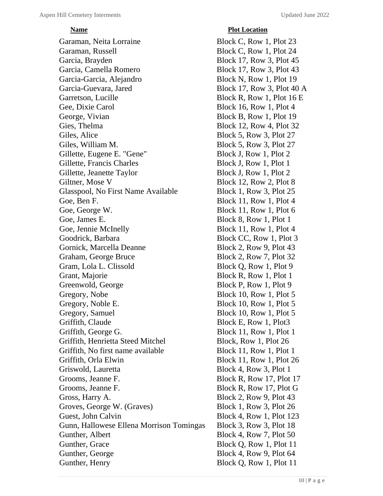# *<u>Plot Location</u>*

Garaman, Neita Lorraine Block C, Row 1, Plot 23 Garaman, Russell Block C, Row 1, Plot 24 Garcia, Brayden Block 17, Row 3, Plot 45 Garcia, Camella Romero Block 17, Row 3, Plot 43 Garcia-Garcia, Alejandro Block N, Row 1, Plot 19 Garcia-Guevara, Jared Block 17, Row 3, Plot 40 A Garretson, Lucille Block R, Row 1, Plot 16 E Gee, Dixie Carol Block 16, Row 1, Plot 4 George, Vivian Block B, Row 1, Plot 19 Gies, Thelma Block 12, Row 4, Plot 32 Giles, Alice Block 5, Row 3, Plot 27 Giles, William M. Block 5, Row 3, Plot 27 Gillette, Eugene E. "Gene" Block J, Row 1, Plot 2 Gillette, Francis Charles Block J, Row 1, Plot 1 Gillette, Jeanette Taylor Block J, Row 1, Plot 2 Giltner, Mose V Block 12, Row 2, Plot 8 Glasspool, No First Name Available Block 1, Row 3, Plot 25 Goe, Ben F. Block 11, Row 1, Plot 4 Goe, George W. Block 11, Row 1, Plot 6 Goe, James E. Block 8, Row 1, Plot 1 Goe, Jennie McInelly Block 11, Row 1, Plot 4 Goodrick, Barbara Block CC, Row 1, Plot 3 Gornick, Marcella Deanne Block 2, Row 9, Plot 43 Graham, George Bruce Block 2, Row 7, Plot 32 Gram, Lola L. Clissold Block Q, Row 1, Plot 9 Grant, Majorie Block R, Row 1, Plot 1 Greenwold, George Block P, Row 1, Plot 9 Gregory, Nobe Block 10, Row 1, Plot 5 Gregory, Noble E. Block 10, Row 1, Plot 5 Gregory, Samuel Block 10, Row 1, Plot 5 Griffith, Claude Block E, Row 1, Plot3 Griffith, George G. Block 11, Row 1, Plot 1 Griffith, Henrietta Steed Mitchel Block, Row 1, Plot 26 Griffith, No first name available Block 11, Row 1, Plot 1 Griffith, Orla Elwin Block 11, Row 1, Plot 26 Griswold, Lauretta Block 4, Row 3, Plot 1 Grooms, Jeanne F. Block R, Row 17, Plot 17 Grooms, Jeanne F. Block R, Row 17, Plot G Gross, Harry A. Block 2, Row 9, Plot 43 Groves, George W. (Graves) Block 1, Row 3, Plot 26 Guest, John Calvin Block 4, Row 1, Plot 123 Gunn, Hallowese Ellena Morrison Tomingas Block 3, Row 3, Plot 18 Gunther, Albert Block 4, Row 7, Plot 50 Gunther, Grace Block Q, Row 1, Plot 11 Gunther, George Block 4, Row 9, Plot 64 Gunther, Henry Block Q, Row 1, Plot 11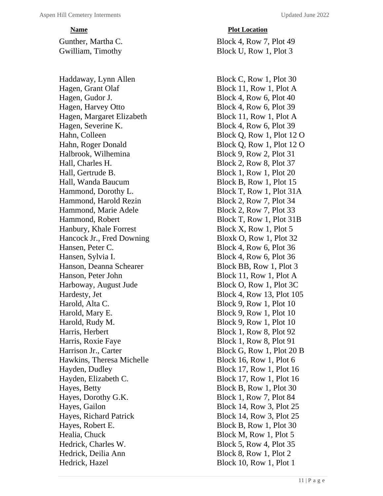Hagen, Grant Olaf Block 11, Row 1, Plot A Hagen, Gudor J. Block 4, Row 6, Plot 40 Hagen, Harvey Otto Block 4, Row 6, Plot 39 Hagen, Margaret Elizabeth Block 11, Row 1, Plot A Hagen, Severine K. Block 4, Row 6, Plot 39 Hahn, Colleen Block Q, Row 1, Plot 12 O Hahn, Roger Donald Block Q, Row 1, Plot 12 O Halbrook, Wilhemina Block 9, Row 2, Plot 31 Hall, Charles H. Block 2, Row 8, Plot 37 Hall, Gertrude B. Block 1, Row 1, Plot 20 Hall, Wanda Baucum Block B, Row 1, Plot 15 Hammond, Dorothy L. Block T, Row 1, Plot 31A Hammond, Harold Rezin Block 2, Row 7, Plot 34 Hammond, Marie Adele Block 2, Row 7, Plot 33 Hammond, Robert Block T, Row 1, Plot 31B Hanbury, Khale Forrest Block X, Row 1, Plot 5 Hancock Jr., Fred Downing Bloxk O, Row 1, Plot 32 Hansen, Peter C. Block 4, Row 6, Plot 36 Hansen, Sylvia I. Block 4, Row 6, Plot 36 Hanson, Deanna Schearer Block BB, Row 1, Plot 3 Hanson, Peter John Block 11, Row 1, Plot A Harboway, August Jude Block O, Row 1, Plot 3C Hardesty, Jet Block 4, Row 13, Plot 105 Harold, Alta C. Block 9, Row 1, Plot 10 Harold, Mary E. Block 9, Row 1, Plot 10 Harold, Rudy M. Block 9, Row 1, Plot 10 Harris, Herbert Block 1, Row 8, Plot 92 Harris, Roxie Faye Block 1, Row 8, Plot 91 Harrison Jr., Carter Block G, Row 1, Plot 20 B Hawkins, Theresa Michelle Block 16, Row 1, Plot 6 Hayden, Dudley Block 17, Row 1, Plot 16 Hayden, Elizabeth C. Block 17, Row 1, Plot 16 Hayes, Betty Block B, Row 1, Plot 30 Hayes, Dorothy G.K. Block 1, Row 7, Plot 84 Hayes, Gailon Block 14, Row 3, Plot 25 Hayes, Richard Patrick Block 14, Row 3, Plot 25 Hayes, Robert E. Block B, Row 1, Plot 30 Healia, Chuck Block M, Row 1, Plot 5 Hedrick, Charles W. Block 5, Row 4, Plot 35 Hedrick, Deilia Ann Block 8, Row 1, Plot 2 Hedrick, Hazel Block 10, Row 1, Plot 1

# *Plot Location*

Gunther, Martha C. Block 4, Row 7, Plot 49 Gwilliam, Timothy Block U, Row 1, Plot 3

Haddaway, Lynn Allen Block C, Row 1, Plot 30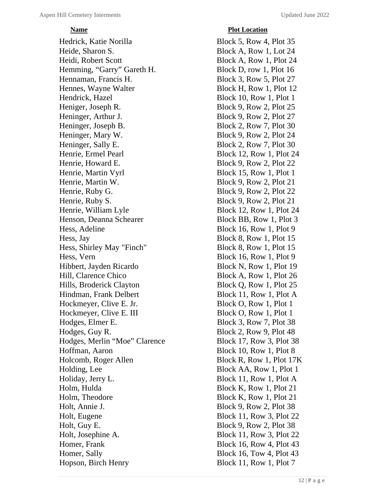Hedrick, Katie Norilla Block 5, Row 4, Plot 35 Heide, Sharon S. Block A, Row 1, Lot 24 Heidi, Robert Scott **Block A, Row 1, Plot 24** Hemming, "Garry" Gareth H. Block D, row 1, Plot 16 Hennaman, Francis H. Block 3, Row 5, Plot 27 Hennes, Wayne Walter Block H, Row 1, Plot 12 Hendrick, Hazel Block 10, Row 1, Plot 1 Heniger, Joseph R. Block 9, Row 2, Plot 25 Heninger, Arthur J. Block 9, Row 2, Plot 27 Heninger, Joseph B. Block 2, Row 7, Plot 30 Heninger, Mary W. Block 9, Row 2, Plot 24 Heninger, Sally E. Block 2, Row 7, Plot 30 Henrie, Ermel Pearl Block 12, Row 1, Plot 24 Henrie, Howard E. Block 9, Row 2, Plot 22 Henrie, Martin Vyrl Block 15, Row 1, Plot 1 Henrie, Martin W. Block 9, Row 2, Plot 21 Henrie, Ruby G. Block 9, Row 2, Plot 22 Henrie, Ruby S. Block 9, Row 2, Plot 21 Henrie, William Lyle Block 12, Row 1, Plot 24 Henson, Deanna Schearer Block BB, Row 1, Plot 3 Hess, Adeline Block 16, Row 1, Plot 9 Hess, Jay Block 8, Row 1, Plot 15 Hess, Shirley May "Finch" Block 8, Row 1, Plot 15 Hess, Vern Block 16, Row 1, Plot 9 Hibbert, Jayden Ricardo Block N, Row 1, Plot 19 Hill, Clarence Chico Block A, Row 1, Plot 26 Hills, Broderick Clayton Block Q, Row 1, Plot 25 Hindman, Frank Delbert Block 11, Row 1, Plot A Hockmeyer, Clive E. Jr. Block O, Row 1, Plot 1 Hockmeyer, Clive E. III Block O, Row 1, Plot 1 Hodges, Elmer E. Block 3, Row 7, Plot 38 Hodges, Guy R. Block 2, Row 9, Plot 48 Hodges, Merlin "Moe" Clarence Block 17, Row 3, Plot 38 Hoffman, Aaron Block 10, Row 1, Plot 8 Holcomb, Roger Allen Block R, Row 1, Plot 17K Holding, Lee Block AA, Row 1, Plot 1 Holiday, Jerry L. Block 11, Row 1, Plot A Holm, Hulda Block K, Row 1, Plot 21 Holm, Theodore Block K, Row 1, Plot 21 Holt, Annie J. Block 9, Row 2, Plot 38 Holt, Eugene Block 11, Row 3, Plot 22 Holt, Guy E. Block 9, Row 2, Plot 38 Holt, Josephine A. Block 11, Row 3, Plot 22 Homer, Frank Block 16, Row 4, Plot 43 Homer, Sally Block 16, Tow 4, Plot 43 Hopson, Birch Henry Block 11, Row 1, Plot 7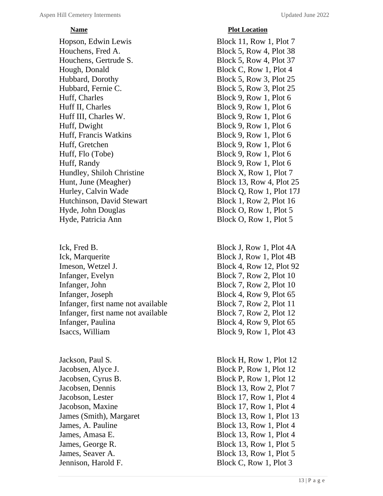Hopson, Edwin Lewis Block 11, Row 1, Plot 7 Houchens, Fred A. Block 5, Row 4, Plot 38 Houchens, Gertrude S. Block 5, Row 4, Plot 37 Hough, Donald Block C, Row 1, Plot 4 Hubbard, Dorothy Block 5, Row 3, Plot 25 Hubbard, Fernie C. Block 5, Row 3, Plot 25 Huff, Charles Block 9, Row 1, Plot 6 Huff II, Charles Block 9, Row 1, Plot 6 Huff III, Charles W. Block 9, Row 1, Plot 6 Huff, Dwight Block 9, Row 1, Plot 6 Huff, Francis Watkins Block 9, Row 1, Plot 6 Huff, Gretchen Block 9, Row 1, Plot 6 Huff, Flo (Tobe) Block 9, Row 1, Plot 6 Huff, Randy Block 9, Row 1, Plot 6 Hundley, Shiloh Christine Block X, Row 1, Plot 7 Hunt, June (Meagher) Block 13, Row 4, Plot 25 Hurley, Calvin Wade Block Q, Row 1, Plot 17J Hutchinson, David Stewart Block 1, Row 2, Plot 16 Hyde, John Douglas Block O, Row 1, Plot 5 Hyde, Patricia Ann Block O, Row 1, Plot 5

Ick, Fred B. Block J, Row 1, Plot 4A Ick, Marquerite Block J, Row 1, Plot 4B Imeson, Wetzel J. Block 4, Row 12, Plot 92 Infanger, Evelyn Block 7, Row 2, Plot 10 Infanger, John Block 7, Row 2, Plot 10 Infanger, Joseph Block 4, Row 9, Plot 65 Infanger, first name not available Block 7, Row 2, Plot 11 Infanger, first name not available Block 7, Row 2, Plot 12 Infanger, Paulina Block 4, Row 9, Plot 65 Isaccs, William Block 9, Row 1, Plot 43

Jennison, Harold F. Block C, Row 1, Plot 3

# **Name Plot Location**

Jackson, Paul S. Block H, Row 1, Plot 12 Jacobsen, Alyce J. Block P, Row 1, Plot 12 Jacobsen, Cyrus B. Block P, Row 1, Plot 12 Jacobsen, Dennis Block 13, Row 2, Plot 7 Jacobson, Lester Block 17, Row 1, Plot 4 Jacobson, Maxine Block 17, Row 1, Plot 4 James (Smith), Margaret Block 13, Row 1, Plot 13 James, A. Pauline Block 13, Row 1, Plot 4 James, Amasa E. Block 13, Row 1, Plot 4 James, George R. Block 13, Row 1, Plot 5 James, Seaver A. Block 13, Row 1, Plot 5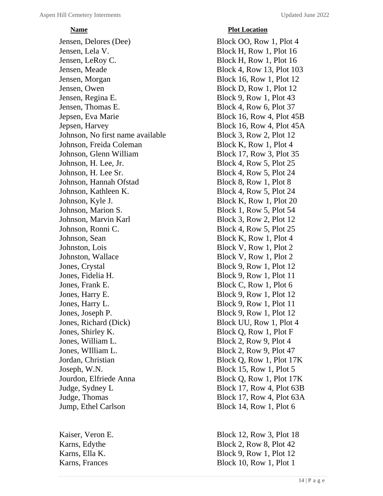Jensen, Delores (Dee) Block OO, Row 1, Plot 4 Jensen, Lela V. Block H, Row 1, Plot 16 Jensen, LeRoy C. Block H, Row 1, Plot 16 Jensen, Meade Block 4, Row 13, Plot 103 Jensen, Morgan Block 16, Row 1, Plot 12 Jensen, Owen Block D, Row 1, Plot 12 Jensen, Regina E. Block 9, Row 1, Plot 43 Jensen, Thomas E. Block 4, Row 6, Plot 37 Jepsen, Eva Marie Block 16, Row 4, Plot 45B Jepsen, Harvey Block 16, Row 4, Plot 45A Johnson, No first name available Block 3, Row 2, Plot 12 Johnson, Freida Coleman Block K, Row 1, Plot 4 Johnson, Glenn William Block 17, Row 3, Plot 35 Johnson, H. Lee, Jr. Block 4, Row 5, Plot 25 Johnson, H. Lee Sr. Block 4, Row 5, Plot 24 Johnson, Hannah Ofstad Block 8, Row 1, Plot 8 Johnson, Kathleen K. Block 4, Row 5, Plot 24 Johnson, Kyle J. Block K, Row 1, Plot 20 Johnson, Marion S. Block 1, Row 5, Plot 54 Johnson, Marvin Karl Block 3, Row 2, Plot 12 Johnson, Ronni C. Block 4, Row 5, Plot 25 Johnson, Sean Block K, Row 1, Plot 4 Johnston, Lois Block V, Row 1, Plot 2 Johnston, Wallace Block V, Row 1, Plot 2 Jones, Crystal Block 9, Row 1, Plot 12 Jones, Fidelia H. Block 9, Row 1, Plot 11 Jones, Frank E. Block C, Row 1, Plot 6 Jones, Harry E. Block 9, Row 1, Plot 12 Jones, Harry L. Block 9, Row 1, Plot 11 Jones, Joseph P. Block 9, Row 1, Plot 12 Jones, Richard (Dick) Block UU, Row 1, Plot 4 Jones, Shirley K. Block Q, Row 1, Plot F Jones, William L. Block 2, Row 9, Plot 4 Jones, William L. Block 2, Row 9, Plot 47 Jordan, Christian Block Q, Row 1, Plot 17K Joseph, W.N. Block 15, Row 1, Plot 5 Jourdon, Elfriede Anna Block Q, Row 1, Plot 17K Judge, Sydney L<br>Block 17, Row 4, Plot 63B Judge, Thomas Block 17, Row 4, Plot 63A Jump, Ethel Carlson Block 14, Row 1, Plot 6

# *<u>Plot Location</u>*

Kaiser, Veron E. Block 12, Row 3, Plot 18 Karns, Edythe Block 2, Row 8, Plot 42 Karns, Ella K. Block 9, Row 1, Plot 12 Karns, Frances Block 10, Row 1, Plot 1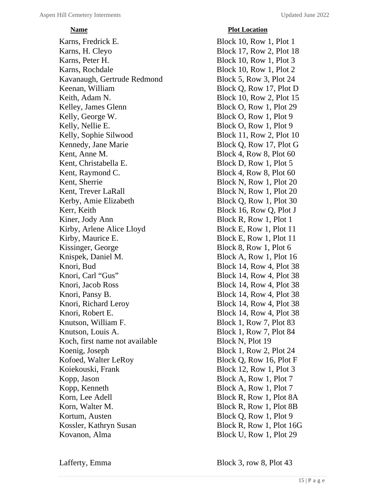Karns, Fredrick E. Block 10, Row 1, Plot 1 Karns, H. Cleyo Block 17, Row 2, Plot 18 Karns, Peter H. Block 10, Row 1, Plot 3 Karns, Rochdale Block 10, Row 1, Plot 2 Kavanaugh, Gertrude Redmond Block 5, Row 3, Plot 24 Keenan, William Block Q, Row 17, Plot D Keith, Adam N. Block 10, Row 2, Plot 15 Kelley, James Glenn Block O, Row 1, Plot 29 Kelly, George W. Block O, Row 1, Plot 9 Kelly, Nellie E. Block O, Row 1, Plot 9 Kelly, Sophie Silwood Block 11, Row 2, Plot 10 Kennedy, Jane Marie Block Q, Row 17, Plot G Kent, Anne M. Block 4, Row 8, Plot 60 Kent, Christabella E. Block D, Row 1, Plot 5 Kent, Raymond C. Block 4, Row 8, Plot 60 Kent, Sherrie Block N, Row 1, Plot 20 Kent, Trever LaRall Block N, Row 1, Plot 20 Kerby, Amie Elizabeth Block Q, Row 1, Plot 30 Kerr, Keith Block 16, Row Q, Plot J Kiner, Jody Ann Block R, Row 1, Plot 1 Kirby, Arlene Alice Lloyd Block E, Row 1, Plot 11 Kirby, Maurice E. Block E, Row 1, Plot 11 Kissinger, George Block 8, Row 1, Plot 6 Knispek, Daniel M. Block A, Row 1, Plot 16 Knori, Bud Block 14, Row 4, Plot 38 Knori, Carl "Gus" Block 14, Row 4, Plot 38 Knori, Jacob Ross Block 14, Row 4, Plot 38 Knori, Pansy B. Block 14, Row 4, Plot 38 Knori, Richard Leroy Block 14, Row 4, Plot 38 Knori, Robert E. Block 14, Row 4, Plot 38 Knutson, William F. Block 1, Row 7, Plot 83 Knutson, Louis A. Block 1, Row 7, Plot 84 Koch, first name not available Block N, Plot 19 Koenig, Joseph Block 1, Row 2, Plot 24 Kofoed, Walter LeRoy Block Q, Row 16, Plot F Koiekouski, Frank Block 12, Row 1, Plot 3 Kopp, Jason Block A, Row 1, Plot 7 Kopp, Kenneth Block A, Row 1, Plot 7 Korn, Lee Adell Block R, Row 1, Plot 8A Korn, Walter M. Block R, Row 1, Plot 8B Kortum, Austen Block Q, Row 1, Plot 9 Kossler, Kathryn Susan Block R, Row 1, Plot 16G Kovanon, Alma Block U, Row 1, Plot 29

Lafferty, Emma Block 3, row 8, Plot 43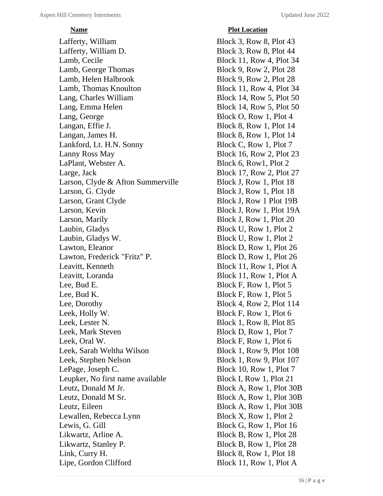# *<u>Plot Location</u>*

Lafferty, William Block 3, Row 8, Plot 43 Lafferty, William D. Block 3, Row 8, Plot 44 Lamb, Cecile Block 11, Row 4, Plot 34 Lamb, George Thomas Block 9, Row 2, Plot 28 Lamb, Helen Halbrook Block 9, Row 2, Plot 28 Lamb, Thomas Knoulton Block 11, Row 4, Plot 34 Lang, Charles William Block 14, Row 5, Plot 50 Lang, Emma Helen Block 14, Row 5, Plot 50 Lang, George Block O, Row 1, Plot 4 Langan, Effie J. Block 8, Row 1, Plot 14 Langan, James H. Block 8, Row 1, Plot 14 Lankford, Lt. H.N. Sonny Block C, Row 1, Plot 7 Lanny Ross May Block 16, Row 2, Plot 23 LaPlant, Webster A. Block 6, Row1, Plot 2 Large, Jack Block 17, Row 2, Plot 27 Larson, Clyde & Afton Summerville Block J, Row 1, Plot 18 Larson, G. Clyde Block J, Row 1, Plot 18 Larson, Grant Clyde Block J, Row 1 Plot 19B Larson, Kevin Block J, Row 1, Plot 19A Larson, Marily Block J, Row 1, Plot 20 Laubin, Gladys Block U, Row 1, Plot 2 Laubin, Gladys W. Block U, Row 1, Plot 2 Lawton, Eleanor Block D, Row 1, Plot 26 Lawton, Frederick "Fritz" P. Block D, Row 1, Plot 26 Leavitt, Kenneth Block 11, Row 1, Plot A Leavitt, Loranda Block 11, Row 1, Plot A Lee, Bud E. Block F, Row 1, Plot 5 Lee, Bud K. Block F, Row 1, Plot 5 Lee, Dorothy Block 4, Row 2, Plot 114 Leek, Holly W. Block F, Row 1, Plot 6 Leek, Lester N. Block 1, Row 8, Plot 85 Leek, Mark Steven Block D, Row 1, Plot 7 Leek, Oral W. Block F, Row 1, Plot 6 Leek, Sarah Weltha Wilson Block 1, Row 9, Plot 108 Leek, Stephen Nelson Block 1, Row 9, Plot 107 LePage, Joseph C. Block 10, Row 1, Plot 7 Leupker, No first name available Block I, Row 1, Plot 21 Leutz, Donald M Jr. Block A, Row 1, Plot 30B Leutz, Donald M Sr. Block A, Row 1, Plot 30B Leutz, Eileen Block A, Row 1, Plot 30B Lewallen, Rebecca Lynn Block X, Row 1, Plot 2 Lewis, G. Gill Block G, Row 1, Plot 16 Likwartz, Arline A. Block B, Row 1, Plot 28 Likwartz, Stanley P. Block B, Row 1, Plot 28 Link, Curry H. Block 8, Row 1, Plot 18 Lipe, Gordon Clifford Block 11, Row 1, Plot A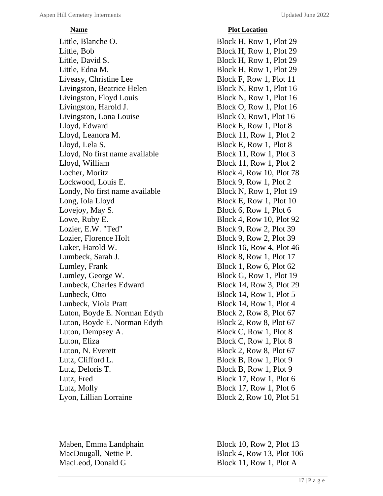Little, Blanche O. Block H, Row 1, Plot 29 Little, Bob Block H, Row 1, Plot 29 Little, David S. Block H, Row 1, Plot 29 Little, Edna M. Block H, Row 1, Plot 29 Liveasy, Christine Lee Block F, Row 1, Plot 11 Livingston, Beatrice Helen Block N, Row 1, Plot 16 Livingston, Floyd Louis Block N, Row 1, Plot 16 Livingston, Harold J. Block O, Row 1, Plot 16 Livingston, Lona Louise Block O, Row1, Plot 16 Lloyd, Edward Block E, Row 1, Plot 8 Lloyd, Leanora M. Block 11, Row 1, Plot 2 Lloyd, Lela S. Block E, Row 1, Plot 8 Lloyd, No first name available Block 11, Row 1, Plot 3 Lloyd, William Block 11, Row 1, Plot 2 Locher, Moritz Block 4, Row 10, Plot 78 Lockwood, Louis E. Block 9, Row 1, Plot 2 Londy, No first name available Block N, Row 1, Plot 19 Long, Iola Lloyd Block E, Row 1, Plot 10 Lovejoy, May S. Block 6, Row 1, Plot 6 Lowe, Ruby E. Block 4, Row 10, Plot 92 Lozier, E.W. "Ted" Block 9, Row 2, Plot 39 Lozier, Florence Holt Block 9, Row 2, Plot 39 Luker, Harold W. Block 16, Row 4, Plot 46 Lumbeck, Sarah J. Block 8, Row 1, Plot 17 Lumley, Frank Block 1, Row 6, Plot 62 Lumley, George W. Block G, Row 1, Plot 19 Lunbeck, Charles Edward Block 14, Row 3, Plot 29 Lunbeck, Otto Block 14, Row 1, Plot 5 Lunbeck, Viola Pratt Block 14, Row 1, Plot 4 Luton, Boyde E. Norman Edyth Block 2, Row 8, Plot 67 Luton, Boyde E. Norman Edyth Block 2, Row 8, Plot 67 Luton, Dempsey A. Block C, Row 1, Plot 8 Luton, Eliza Block C, Row 1, Plot 8 Luton, N. Everett Block 2, Row 8, Plot 67 Lutz, Clifford L. Block B, Row 1, Plot 9 Lutz, Deloris T. Block B, Row 1, Plot 9 Lutz, Fred Block 17, Row 1, Plot 6 Lutz, Molly Block 17, Row 1, Plot 6 Lyon, Lillian Lorraine Block 2, Row 10, Plot 51

MacLeod, Donald G Block 11, Row 1, Plot A

# *Plot Location*

Maben, Emma Landphain Block 10, Row 2, Plot 13 MacDougall, Nettie P. Block 4, Row 13, Plot 106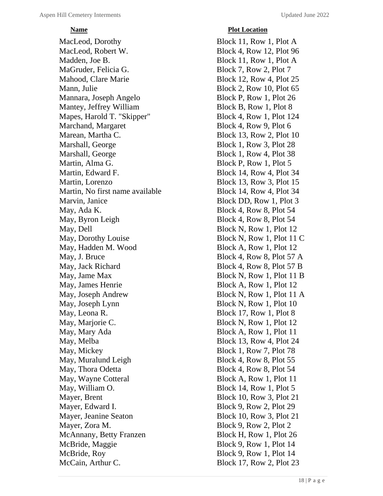MacLeod, Dorothy Block 11, Row 1, Plot A MacLeod, Robert W. Block 4, Row 12, Plot 96 Madden, Joe B. Block 11, Row 1, Plot A MaGruder, Felicia G. Block 7, Row 2, Plot 7 Mahood, Clare Marie Block 12, Row 4, Plot 25 Mann, Julie Block 2, Row 10, Plot 65 Mannara, Joseph Angelo Block P, Row 1, Plot 26 Mantey, Jeffrey William Block B, Row 1, Plot 8 Mapes, Harold T. "Skipper" Block 4, Row 1, Plot 124 Marchand, Margaret Block 4, Row 9, Plot 6 Marean, Martha C. Block 13, Row 2, Plot 10 Marshall, George Block 1, Row 3, Plot 28 Marshall, George Block 1, Row 4, Plot 38 Martin, Alma G. Block P, Row 1, Plot 5 Martin, Edward F. Block 14, Row 4, Plot 34 Martin, Lorenzo Block 13, Row 3, Plot 15 Martin, No first name available Block 14, Row 4, Plot 34 Marvin, Janice Block DD, Row 1, Plot 3 May, Ada K. Block 4, Row 8, Plot 54 May, Byron Leigh Block 4, Row 8, Plot 54 May, Dell Block N, Row 1, Plot 12 May, Dorothy Louise Block N, Row 1, Plot 11 C May, Hadden M. Wood Block A, Row 1, Plot 12 May, J. Bruce Block 4, Row 8, Plot 57 A May, Jack Richard Block 4, Row 8, Plot 57 B May, Jame Max Block N, Row 1, Plot 11 B May, James Henrie Block A, Row 1, Plot 12 May, Joseph Andrew Block N, Row 1, Plot 11 A May, Joseph Lynn Block N, Row 1, Plot 10 May, Leona R. Block 17, Row 1, Plot 8 May, Marjorie C. Block N, Row 1, Plot 12 May, Mary Ada Block A, Row 1, Plot 11 May, Melba Block 13, Row 4, Plot 24 May, Mickey Block 1, Row 7, Plot 78 May, Muralund Leigh Block 4, Row 8, Plot 55 May, Thora Odetta Block 4, Row 8, Plot 54 May, Wayne Cotteral Block A, Row 1, Plot 11 May, William O. Block 14, Row 1, Plot 5 Mayer, Brent Block 10, Row 3, Plot 21 Mayer, Edward I. Block 9, Row 2, Plot 29 Mayer, Jeanine Seaton Block 10, Row 3, Plot 21 Mayer, Zora M. Block 9, Row 2, Plot 2 McAnnany, Betty Franzen Block H, Row 1, Plot 26 McBride, Maggie Block 9, Row 1, Plot 14 McBride, Roy Block 9, Row 1, Plot 14<br>McCain, Arthur C. Block 17, Row 2, Plot 2.

# *Plot Location*

Block 17, Row 2, Plot 23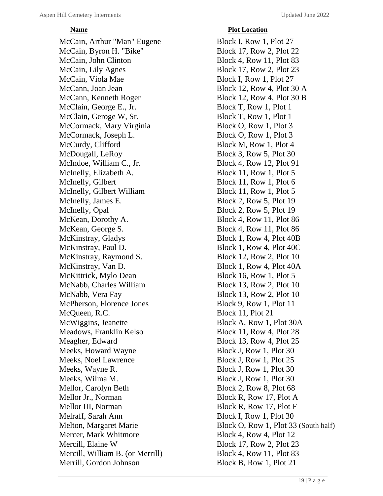McCain, Arthur "Man" Eugene Block I, Row 1, Plot 27 McCain, Byron H. "Bike" Block 17, Row 2, Plot 22 McCain, John Clinton Block 4, Row 11, Plot 83 McCain, Lily Agnes Block 17, Row 2, Plot 23 McCain, Viola Mae Block I, Row 1, Plot 27 McCann, Joan Jean Block 12, Row 4, Plot 30 A McCann, Kenneth Roger Block 12, Row 4, Plot 30 B McClain, George E., Jr. Block T, Row 1, Plot 1 McClain, Geroge W, Sr. Block T, Row 1, Plot 1 McCormack, Mary Virginia Block O, Row 1, Plot 3 McCormack, Joseph L. Block O, Row 1, Plot 3 McCurdy, Clifford Block M, Row 1, Plot 4 McDougall, LeRoy Block 3, Row 5, Plot 30 McIndoe, William C., Jr. Block 4, Row 12, Plot 91 McInelly, Elizabeth A. Block 11, Row 1, Plot 5 McInelly, Gilbert Block 11, Row 1, Plot 6 McInelly, Gilbert William Block 11, Row 1, Plot 5 McInelly, James E. Block 2, Row 5, Plot 19 McInelly, Opal Block 2, Row 5, Plot 19 McKean, Dorothy A. Block 4, Row 11, Plot 86 McKean, George S. Block 4, Row 11, Plot 86 McKinstray, Gladys Block 1, Row 4, Plot 40B McKinstray, Paul D. Block 1, Row 4, Plot 40C McKinstray, Raymond S. Block 12, Row 2, Plot 10 McKinstray, Van D. Block 1, Row 4, Plot 40A McKittrick, Mylo Dean Block 16, Row 1, Plot 5 McNabb, Charles William Block 13, Row 2, Plot 10 McNabb, Vera Fay Block 13, Row 2, Plot 10 McPherson, Florence Jones Block 9, Row 1, Plot 11 McQueen, R.C. Block 11, Plot 21 McWiggins, Jeanette Block A, Row 1, Plot 30A Meadows, Franklin Kelso Block 11, Row 4, Plot 28 Meagher, Edward Block 13, Row 4, Plot 25 Meeks, Howard Wayne Block J, Row 1, Plot 30 Meeks, Noel Lawrence Block J, Row 1, Plot 25 Meeks, Wayne R. Block J, Row 1, Plot 30 Meeks, Wilma M. Block J, Row 1, Plot 30 Mellor, Carolyn Beth Block 2, Row 8, Plot 68 Mellor Jr., Norman Block R, Row 17, Plot A Mellor III, Norman Block R, Row 17, Plot F Melraff, Sarah Ann Block I, Row 1, Plot 30 Mercer, Mark Whitmore Block 4, Row 4, Plot 12 Mercill, Elaine W Block 17, Row 2, Plot 23 Mercill, William B. (or Merrill) Block 4, Row 11, Plot 83 Merrill, Gordon Johnson Block B, Row 1, Plot 21

# *<u>Plot Location</u>*

Melton, Margaret Marie Block O, Row 1, Plot 33 (South half)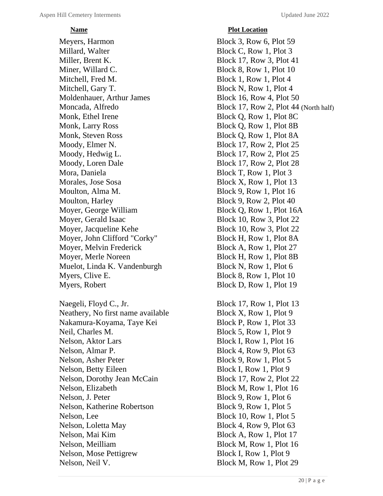Meyers, Harmon Block 3, Row 6, Plot 59 Millard, Walter Block C, Row 1, Plot 3 Miller, Brent K. Block 17, Row 3, Plot 41 Miner, Willard C. Block 8, Row 1, Plot 10 Mitchell, Fred M. Block 1, Row 1, Plot 4 Mitchell, Gary T. Block N, Row 1, Plot 4 Moldenhauer, Arthur James Block 16, Row 4, Plot 50 Monk, Ethel Irene Block Q, Row 1, Plot 8C Monk, Larry Ross Block Q, Row 1, Plot 8B Monk, Steven Ross Block Q, Row 1, Plot 8A Moody, Elmer N. Block 17, Row 2, Plot 25 Moody, Hedwig L. Block 17, Row 2, Plot 25 Moody, Loren Dale Block 17, Row 2, Plot 28 Mora, Daniela Block T, Row 1, Plot 3 Morales, Jose Sosa Block X, Row 1, Plot 13 Moulton, Alma M. Block 9, Row 1, Plot 16 Moulton, Harley Block 9, Row 2, Plot 40 Moyer, George William Block Q, Row 1, Plot 16A Moyer, Gerald Isaac Block 10, Row 3, Plot 22 Moyer, Jacqueline Kehe Block 10, Row 3, Plot 22 Moyer, John Clifford "Corky" Block H, Row 1, Plot 8A Moyer, Melvin Frederick Block A, Row 1, Plot 27 Moyer, Merle Noreen Block H, Row 1, Plot 8B Muelot, Linda K. Vandenburgh Block N, Row 1, Plot 6 Myers, Clive E. Block 8, Row 1, Plot 10 Myers, Robert Block D, Row 1, Plot 19

Naegeli, Floyd C., Jr. Block 17, Row 1, Plot 13 Neathery, No first name available Block X, Row 1, Plot 9 Nakamura-Koyama, Taye Kei Block P, Row 1, Plot 33 Neil, Charles M. Block 5, Row 1, Plot 9 Nelson, Aktor Lars Block I, Row 1, Plot 16 Nelson, Almar P. Block 4, Row 9, Plot 63 Nelson, Asher Peter Block 9, Row 1, Plot 5 Nelson, Betty Eileen Block I, Row 1, Plot 9 Nelson, Dorothy Jean McCain Block 17, Row 2, Plot 22 Nelson, Elizabeth Block M, Row 1, Plot 16 Nelson, J. Peter Block 9, Row 1, Plot 6 Nelson, Katherine Robertson<br>Block 9, Row 1, Plot 5 Nelson, Lee Block 10, Row 1, Plot 5 Nelson, Loletta May Block 4, Row 9, Plot 63 Nelson, Mai Kim Block A, Row 1, Plot 17 Nelson, Meilliam Block M, Row 1, Plot 16 Nelson, Mose Pettigrew Block I, Row 1, Plot 9 Nelson, Neil V. Block M, Row 1, Plot 29

*<u>Plot Location</u>* Moncada, Alfredo Block 17, Row 2, Plot 44 (North half)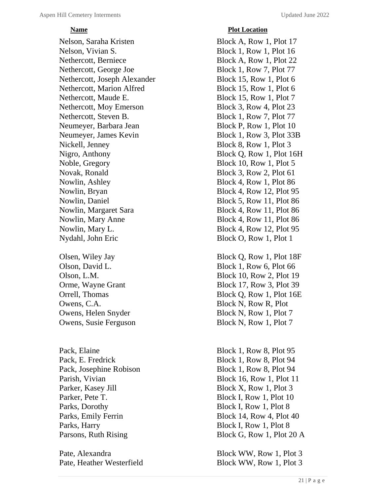Nelson, Saraha Kristen Block A, Row 1, Plot 17 Nelson, Vivian S. Block 1, Row 1, Plot 16 Nethercott, Berniece Block A, Row 1, Plot 22 Nethercott, George Joe Block 1, Row 7, Plot 77 Nethercott, Joseph Alexander Block 15, Row 1, Plot 6 Nethercott, Marion Alfred Block 15, Row 1, Plot 6 Nethercott, Maude E. Block 15, Row 1, Plot 7 Nethercott, Moy Emerson Block 3, Row 4, Plot 23 Nethercott, Steven B. Block 1, Row 7, Plot 77 Neumeyer, Barbara Jean Block P, Row 1, Plot 10 Neumeyer, James Kevin Block 1, Row 3, Plot 33B Nickell, Jenney Block 8, Row 1, Plot 3 Nigro, Anthony Block Q, Row 1, Plot 16H Noble, Gregory Block 10, Row 1, Plot 5 Novak, Ronald Block 3, Row 2, Plot 61 Nowlin, Ashley Block 4, Row 1, Plot 86 Nowlin, Bryan Block 4, Row 12, Plot 95 Nowlin, Daniel Block 5, Row 11, Plot 86 Nowlin, Margaret Sara Block 4, Row 11, Plot 86 Nowlin, Mary Anne Block 4, Row 11, Plot 86 Nowlin, Mary L. Block 4, Row 12, Plot 95 Nydahl, John Eric Block O, Row 1, Plot 1

Owens, C.A. Block N, Row R, Plot

Pack, Elaine Block 1, Row 8, Plot 95 Pack, E. Fredrick Block 1, Row 8, Plot 94 Pack, Josephine Robison Block 1, Row 8, Plot 94 Parker, Kasey Jill Block X, Row 1, Plot 3 Parker, Pete T. Block I, Row 1, Plot 10 Parks, Dorothy Block I, Row 1, Plot 8 Parks, Harry Block I, Row 1, Plot 8

# *<u>Plot Location</u>*

Olsen, Wiley Jay Block Q, Row 1, Plot 18F Olson, David L. Block 1, Row 6, Plot 66 Olson, L.M. Block 10, Row 2, Plot 19 Orme, Wayne Grant Block 17, Row 3, Plot 39 Orrell, Thomas Block Q, Row 1, Plot 16E Owens, Helen Snyder Block N, Row 1, Plot 7 Owens, Susie Ferguson Block N, Row 1, Plot 7

Parish, Vivian Block 16, Row 1, Plot 11 Parks, Emily Ferrin Block 14, Row 4, Plot 40 Parsons, Ruth Rising Block G, Row 1, Plot 20 A

Pate, Alexandra Block WW, Row 1, Plot 3 Pate, Heather Westerfield Block WW, Row 1, Plot 3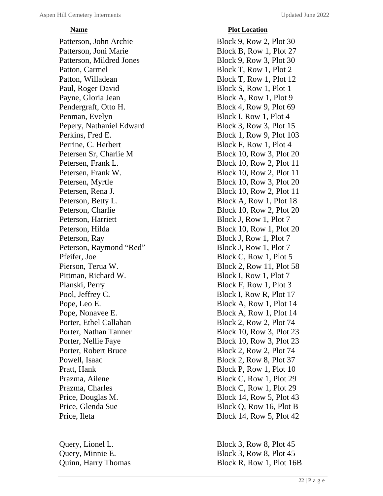# *<u>Plot Location</u>*

Patterson, John Archie Block 9, Row 2, Plot 30 Patterson, Joni Marie Block B, Row 1, Plot 27 Patterson, Mildred Jones Block 9, Row 3, Plot 30 Patton, Carmel Block T, Row 1, Plot 2 Patton, Willadean Block T, Row 1, Plot 12 Paul, Roger David Block S, Row 1, Plot 1 Payne, Gloria Jean Block A, Row 1, Plot 9 Pendergraft, Otto H. Block 4, Row 9, Plot 69 Penman, Evelyn Block I, Row 1, Plot 4 Pepery, Nathaniel Edward Block 3, Row 3, Plot 15 Perkins, Fred E. Block 1, Row 9, Plot 103 Perrine, C. Herbert Block F, Row 1, Plot 4 Petersen Sr, Charlie M Block 10, Row 3, Plot 20 Petersen, Frank L. Block 10, Row 2, Plot 11 Petersen, Frank W. Block 10, Row 2, Plot 11 Petersen, Myrtle Block 10, Row 3, Plot 20 Petersen, Rena J. Block 10, Row 2, Plot 11 Peterson, Betty L. Block A, Row 1, Plot 18 Peterson, Charlie Block 10, Row 2, Plot 20 Peterson, Harriett Block J, Row 1, Plot 7 Peterson, Hilda Block 10, Row 1, Plot 20 Peterson, Ray Block J, Row 1, Plot 7 Peterson, Raymond "Red" Block J, Row 1, Plot 7 Pfeifer, Joe Block C, Row 1, Plot 5 Pierson, Terua W. Block 2, Row 11, Plot 58 Pittman, Richard W. Block I, Row 1, Plot 7 Planski, Perry Block F, Row 1, Plot 3 Pool, Jeffrey C. Block I, Row R, Plot 17 Pope, Leo E. Block A, Row 1, Plot 14 Pope, Nonavee E. Block A, Row 1, Plot 14 Porter, Ethel Callahan Block 2, Row 2, Plot 74 Porter, Nathan Tanner Block 10, Row 3, Plot 23 Porter, Nellie Faye Block 10, Row 3, Plot 23 Porter, Robert Bruce Block 2, Row 2, Plot 74 Powell, Isaac Block 2, Row 8, Plot 37 Pratt, Hank Block P, Row 1, Plot 10 Prazma, Ailene Block C, Row 1, Plot 29 Prazma, Charles Block C, Row 1, Plot 29 Price, Douglas M. Block 14, Row 5, Plot 43 Price, Glenda Sue Block Q, Row 16, Plot B Price, Ileta Block 14, Row 5, Plot 42

Query, Lionel L. Block 3, Row 8, Plot 45 Query, Minnie E. Block 3, Row 8, Plot 45 Quinn, Harry Thomas Block R, Row 1, Plot 16B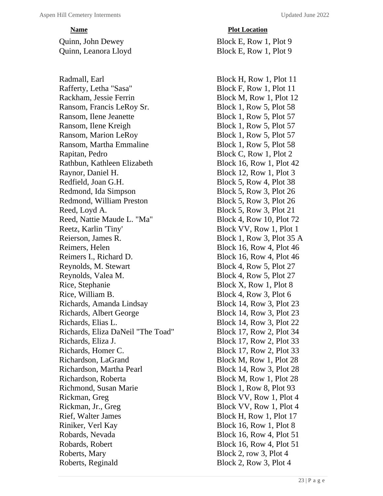Radmall, Earl Block H, Row 1, Plot 11 Rafferty, Letha "Sasa" Block F, Row 1, Plot 11 Rackham, Jessie Ferrin Block M, Row 1, Plot 12 Ransom, Francis LeRoy Sr. Block 1, Row 5, Plot 58 Ransom, Ilene Jeanette Block 1, Row 5, Plot 57 Ransom, Ilene Kreigh Block 1, Row 5, Plot 57 Ransom, Marion LeRoy Block 1, Row 5, Plot 57 Ransom, Martha Emmaline Block 1, Row 5, Plot 58 Rapitan, Pedro Block C, Row 1, Plot 2 Rathbun, Kathleen Elizabeth Block 16, Row 1, Plot 42 Raynor, Daniel H. Block 12, Row 1, Plot 3 Redfield, Joan G.H. Block 5, Row 4, Plot 38 Redmond, Ida Simpson Block 5, Row 3, Plot 26 Redmond, William Preston Block 5, Row 3, Plot 26 Reed, Loyd A. Block 5, Row 3, Plot 21 Reed, Nattie Maude L. "Ma" Block 4, Row 10, Plot 72 Reetz, Karlin 'Tiny' Block VV, Row 1, Plot 1 Reierson, James R. Block 1, Row 3, Plot 35 A Reimers, Helen Block 16, Row 4, Plot 46 Reimers I., Richard D. Block 16, Row 4, Plot 46 Reynolds, M. Stewart Block 4, Row 5, Plot 27 Reynolds, Valea M. Block 4, Row 5, Plot 27 Rice, Stephanie Block X, Row 1, Plot 8 Rice, William B. Block 4, Row 3, Plot 6 Richards, Amanda Lindsay Block 14, Row 3, Plot 23 Richards, Albert George Block 14, Row 3, Plot 23 Richards, Elias L. Block 14, Row 3, Plot 22 Richards, Eliza DaNeil "The Toad" Block 17, Row 2, Plot 34 Richards, Eliza J. Block 17, Row 2, Plot 33 Richards, Homer C. Block 17, Row 2, Plot 33 Richardson, LaGrand Block M, Row 1, Plot 28 Richardson, Martha Pearl Block 14, Row 3, Plot 28 Richardson, Roberta Block M, Row 1, Plot 28 Richmond, Susan Marie Block 1, Row 8, Plot 93 Rickman, Greg Block VV, Row 1, Plot 4 Rickman, Jr., Greg Block VV, Row 1, Plot 4 Rief, Walter James Block H, Row 1, Plot 17 Riniker, Verl Kay Block 16, Row 1, Plot 8 Robards, Nevada<br>Block 16, Row 4, Plot 51 Robards, Robert Block 16, Row 4, Plot 51 Roberts, Mary Block 2, row 3, Plot 4 Roberts, Reginald Block 2, Row 3, Plot 4

# *<u>Plot Location</u>*

Quinn, John Dewey Block E, Row 1, Plot 9 Quinn, Leanora Lloyd Block E, Row 1, Plot 9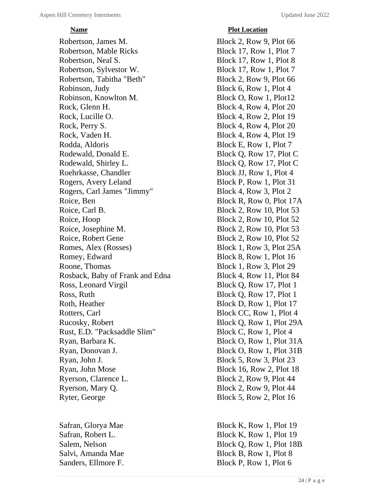Robertson, James M. Block 2, Row 9, Plot 66 Robertson, Mable Ricks Block 17, Row 1, Plot 7 Robertson, Neal S. Block 17, Row 1, Plot 8 Robertson, Sylvestor W. Block 17, Row 1, Plot 7 Robertson, Tabitha "Beth" Block 2, Row 9, Plot 66 Robinson, Judy Block 6, Row 1, Plot 4 Robinson, Knowlton M. Block O, Row 1, Plot12 Rock, Glenn H. Block 4, Row 4, Plot 20 Rock, Lucille O. Block 4, Row 2, Plot 19 Rock, Perry S. Block 4, Row 4, Plot 20 Rock, Vaden H. Block 4, Row 4, Plot 19 Rodda, Aldoris Block E, Row 1, Plot 7 Rodewald, Donald E. Block Q, Row 17, Plot C Rodewald, Shirley L. Block O, Row 17, Plot C Roehrkasse, Chandler Block JJ, Row 1, Plot 4 Rogers, Avery Leland Block P, Row 1, Plot 31 Rogers, Carl James "Jimmy" Block 4, Row 3, Plot 2 Roice, Ben Block R, Row 0, Plot 17A Roice, Carl B. Block 2, Row 10, Plot 53 Roice, Hoop Block 2, Row 10, Plot 52 Roice, Josephine M. Block 2, Row 10, Plot 53 Roice, Robert Gene Block 2, Row 10, Plot 52 Romes, Alex (Rosses) Block 1, Row 3, Plot 25A Romey, Edward Block 8, Row 1, Plot 16 Roone, Thomas Block 1, Row 3, Plot 29 Rosback, Baby of Frank and Edna Block 4, Row 11, Plot 84 Ross, Leonard Virgil Block Q, Row 17, Plot 1 Ross, Ruth Block Q, Row 17, Plot 1 Roth, Heather Block D, Row 1, Plot 17 Rotters, Carl Block CC, Row 1, Plot 4 Rucosky, Robert Block Q, Row 1, Plot 29A Rust, E.D. "Packsaddle Slim" Block C, Row 1, Plot 4 Ryan, Barbara K. Block O, Row 1, Plot 31A Ryan, Donovan J. Block O, Row 1, Plot 31B Ryan, John J. Block 5, Row 3, Plot 23 Ryan, John Mose Block 16, Row 2, Plot 18 Ryerson, Clarence L. Block 2, Row 9, Plot 44 Ryerson, Mary Q. Block 2, Row 9, Plot 44 Ryter, George Block 5, Row 2, Plot 16

# *<u>Plot Location</u>*

Safran, Glorya Mae Block K, Row 1, Plot 19 Safran, Robert L. Block K, Row 1, Plot 19 Salem, Nelson Block Q, Row 1, Plot 18B Salvi, Amanda Mae Block B, Row 1, Plot 8 Sanders, Ellmore F. Block P, Row 1, Plot 6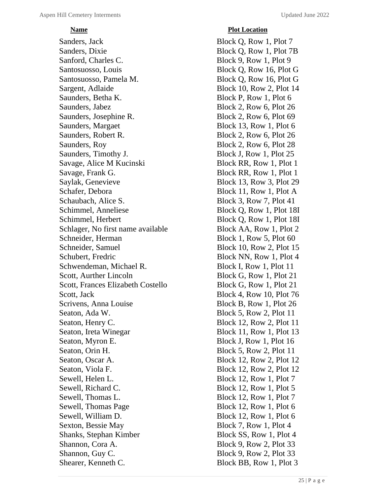Sanders, Jack Block Q, Row 1, Plot 7 Sanders, Dixie Block Q, Row 1, Plot 7B Sanford, Charles C. Block 9, Row 1, Plot 9 Santosuosso, Louis Block Q, Row 16, Plot G Santosuosso, Pamela M. Block Q, Row 16, Plot G Sargent, Adlaide Block 10, Row 2, Plot 14 Saunders, Betha K. Block P, Row 1, Plot 6 Saunders, Jabez Block 2, Row 6, Plot 26 Saunders, Josephine R. Block 2, Row 6, Plot 69 Saunders, Margaet Block 13, Row 1, Plot 6 Saunders, Robert R. Block 2, Row 6, Plot 26 Saunders, Roy Block 2, Row 6, Plot 28 Saunders, Timothy J. Block J, Row 1, Plot 25 Savage, Alice M Kucinski Block RR, Row 1, Plot 1 Savage, Frank G. Block RR, Row 1, Plot 1 Saylak, Genevieve Block 13, Row 3, Plot 29 Schafer, Debora Block 11, Row 1, Plot A Schaubach, Alice S. Block 3, Row 7, Plot 41 Schimmel, Anneliese Block Q, Row 1, Plot 18I Schimmel, Herbert Block Q, Row 1, Plot 18I Schlager, No first name available Block AA, Row 1, Plot 2 Schneider, Herman Block 1, Row 5, Plot 60 Schneider, Samuel Block 10, Row 2, Plot 15 Schubert, Fredric Block NN, Row 1, Plot 4 Schwendeman, Michael R. Block I, Row 1, Plot 11 Scott, Aurther Lincoln Block G, Row 1, Plot 21 Scott, Frances Elizabeth Costello Block G, Row 1, Plot 21 Scott, Jack Block 4, Row 10, Plot 76 Scrivens, Anna Louise Block B, Row 1, Plot 26 Seaton, Ada W. Block 5, Row 2, Plot 11 Seaton, Henry C. Block 12, Row 2, Plot 11 Seaton, Ireta Winegar Block 11, Row 1, Plot 13 Seaton, Myron E. Block J, Row 1, Plot 16 Seaton, Orin H. Block 5, Row 2, Plot 11 Seaton, Oscar A. Block 12, Row 2, Plot 12 Seaton, Viola F. Block 12, Row 2, Plot 12 Sewell, Helen L. Block 12, Row 1, Plot 7 Sewell, Richard C. Block 12, Row 1, Plot 5 Sewell, Thomas L. Block 12, Row 1, Plot 7 Sewell, Thomas Page Block 12, Row 1, Plot 6 Sewell, William D. Block 12, Row 1, Plot 6 Sexton, Bessie May Block 7, Row 1, Plot 4 Shanks, Stephan Kimber Block SS, Row 1, Plot 4 Shannon, Cora A. Block 9, Row 2, Plot 33 Shannon, Guy C. Block 9, Row 2, Plot 33 Shearer, Kenneth C. Block BB, Row 1, Plot 3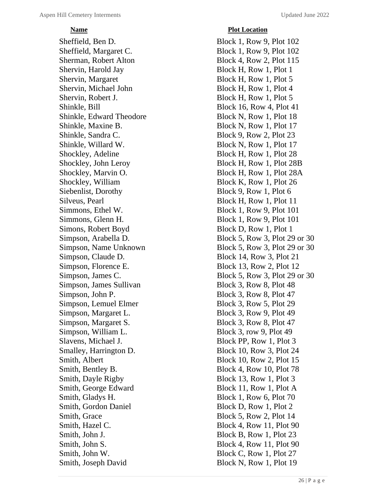# *<u>Plot Location</u>*

Sheffield, Ben D. Block 1, Row 9, Plot 102 Sheffield, Margaret C. Block 1, Row 9, Plot 102 Sherman, Robert Alton Block 4, Row 2, Plot 115 Shervin, Harold Jay Block H, Row 1, Plot 1 Shervin, Margaret Block H, Row 1, Plot 5 Shervin, Michael John Block H, Row 1, Plot 4 Shervin, Robert J. Block H, Row 1, Plot 5 Shinkle, Bill Block 16, Row 4, Plot 41 Shinkle, Edward Theodore Block N, Row 1, Plot 18 Shinkle, Maxine B. Block N, Row 1, Plot 17 Shinkle, Sandra C. Block 9, Row 2, Plot 23 Shinkle, Willard W. Block N, Row 1, Plot 17 Shockley, Adeline Block H, Row 1, Plot 28 Shockley, John Leroy Block H, Row 1, Plot 28B Shockley, Marvin O. Block H, Row 1, Plot 28A Shockley, William Block K, Row 1, Plot 26 Siebenlist, Dorothy Block 9, Row 1, Plot 6 Silveus, Pearl Block H, Row 1, Plot 11 Simmons, Ethel W. Block 1, Row 9, Plot 101 Simmons, Glenn H. Block 1, Row 9, Plot 101 Simons, Robert Boyd Block D, Row 1, Plot 1 Simpson, Claude D. Block 14, Row 3, Plot 21 Simpson, Florence E. Block 13, Row 2, Plot 12 Simpson, James Sullivan Block 3, Row 8, Plot 48 Simpson, John P. Block 3, Row 8, Plot 47 Simpson, Lemuel Elmer Block 3, Row 5, Plot 29 Simpson, Margaret L. Block 3, Row 9, Plot 49 Simpson, Margaret S. Block 3, Row 8, Plot 47 Simpson, William L. Block 3, row 9, Plot 49 Slavens, Michael J. Block PP, Row 1, Plot 3 Smalley, Harrington D. Block 10, Row 3, Plot 24 Smith, Albert Block 10, Row 2, Plot 15 Smith, Bentley B. Block 4, Row 10, Plot 78 Smith, Dayle Rigby Block 13, Row 1, Plot 3 Smith, George Edward Block 11, Row 1, Plot A Smith, Gladys H. Block 1, Row 6, Plot 70 Smith, Gordon Daniel Block D, Row 1, Plot 2 Smith, Grace Block 5, Row 2, Plot 14 Smith, Hazel C. Block 4, Row 11, Plot 90 Smith, John J. Block B, Row 1, Plot 23 Smith, John S. Block 4, Row 11, Plot 90 Smith, John W. Block C, Row 1, Plot 27 Smith, Joseph David Block N, Row 1, Plot 19

Simpson, Arabella D. Block 5, Row 3, Plot 29 or 30 Simpson, Name Unknown Block 5, Row 3, Plot 29 or 30 Simpson, James C. Block 5, Row 3, Plot 29 or 30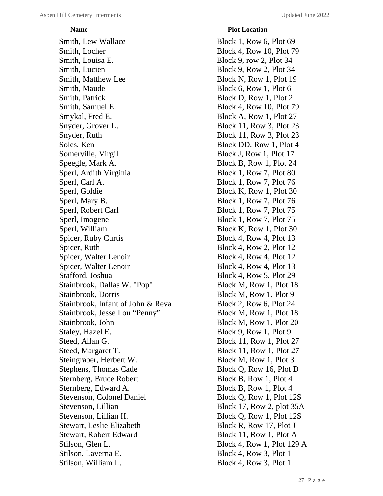Smith, Lew Wallace Block 1, Row 6, Plot 69 Smith, Locher Block 4, Row 10, Plot 79 Smith, Louisa E. Block 9, row 2, Plot 34 Smith, Lucien Block 9, Row 2, Plot 34 Smith, Matthew Lee Block N, Row 1, Plot 19 Smith, Maude Block 6, Row 1, Plot 6 Smith, Patrick Block D, Row 1, Plot 2 Smith, Samuel E. Block 4, Row 10, Plot 79 Smykal, Fred E. Block A, Row 1, Plot 27 Snyder, Grover L. Block 11, Row 3, Plot 23 Snyder, Ruth Block 11, Row 3, Plot 23 Soles, Ken Block DD, Row 1, Plot 4 Somerville, Virgil Block J, Row 1, Plot 17 Speegle, Mark A. Block B, Row 1, Plot 24 Sperl, Ardith Virginia Block 1, Row 7, Plot 80 Sperl, Carl A. Block 1, Row 7, Plot 76 Sperl, Goldie Block K, Row 1, Plot 30 Sperl, Mary B. Block 1, Row 7, Plot 76 Sperl, Robert Carl Block 1, Row 7, Plot 75 Sperl, Imogene Block 1, Row 7, Plot 75 Sperl, William Block K, Row 1, Plot 30 Spicer, Ruby Curtis Block 4, Row 4, Plot 13 Spicer, Ruth Block 4, Row 2, Plot 12 Spicer, Walter Lenoir Block 4, Row 4, Plot 12 Spicer, Walter Lenoir Block 4, Row 4, Plot 13 Stafford, Joshua Block 4, Row 5, Plot 29 Stainbrook, Dallas W. "Pop" Block M, Row 1, Plot 18 Stainbrook, Dorris Block M, Row 1, Plot 9 Stainbrook, Infant of John & Reva Block 2, Row 6, Plot 24 Stainbrook, Jesse Lou "Penny" Block M, Row 1, Plot 18 Stainbrook, John Block M, Row 1, Plot 20 Staley, Hazel E. Block 9, Row 1, Plot 9 Steed, Allan G. Block 11, Row 1, Plot 27 Steed, Margaret T. Block 11, Row 1, Plot 27 Steingraber, Herbert W. Block M, Row 1, Plot 3 Stephens, Thomas Cade Block Q, Row 16, Plot D Sternberg, Bruce Robert Block B, Row 1, Plot 4 Sternberg, Edward A. Block B, Row 1, Plot 4 Stevenson, Colonel Daniel Block Q, Row 1, Plot 12S Stevenson, Lillian Block 17, Row 2, plot 35A Stevenson, Lillian H. Block Q, Row 1, Plot 12S Stewart, Leslie Elizabeth Block R, Row 17, Plot J Stewart, Robert Edward Block 11, Row 1, Plot A Stilson, Glen L.<br>Block 4, Row 1, Plot 129 A Stilson, Laverna E. Block 4, Row 3, Plot 1 Stilson, William L. Block 4, Row 3, Plot 1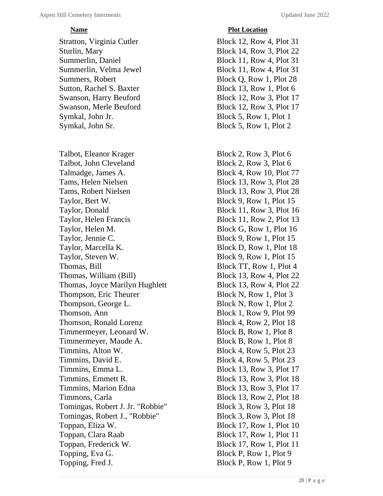Stratton, Virginia Cutler Block 12, Row 4, Plot 31 Sturlin, Mary Block 14, Row 3, Plot 22 Summerlin, Daniel Block 11, Row 4, Plot 31 Summerlin, Velma Jewel Block 11, Row 4, Plot 31 Summers, Robert Block Q, Row 1, Plot 28 Sutton, Rachel S. Baxter Block 13, Row 1, Plot 6 Swanson, Harry Beuford Block 12, Row 3, Plot 17 Swanson, Merle Beuford Block 12, Row 3, Plot 17 Symkal, John Jr. Block 5, Row 1, Plot 1 Symkal, John Sr. Block 5, Row 1, Plot 2

Talbot, Eleanor Krager Block 2, Row 3, Plot 6 Talbot, John Cleveland Block 2, Row 3, Plot 6 Talmadge, James A. Block 4, Row 10, Plot 77 Tams, Helen Nielsen Block 13, Row 3, Plot 28 Tams, Robert Nielsen Block 13, Row 3, Plot 28 Taylor, Bert W. Block 9, Row 1, Plot 15 Taylor, Donald Block 11, Row 3, Plot 16 Taylor, Helen Francis Block 11, Row 2, Plot 13 Taylor, Helen M. Block G, Row 1, Plot 16 Taylor, Jennie C. Block 9, Row 1, Plot 15 Taylor, Marcella K. Block D, Row 1, Plot 18 Taylor, Steven W. Block 9, Row 1, Plot 15 Thomas, Bill Block TT, Row 1, Plot 4 Thomas, William (Bill) Block 13, Row 4, Plot 22 Thomas, Joyce Marilyn Hughlett Block 13, Row 4, Plot 22 Thompson, Eric Theurer Block N, Row 1, Plot 3 Thompson, George L. Block N, Row 1, Plot 2 Thomson, Ann Block 1, Row 9, Plot 99 Thomson, Ronald Lorenz Block 4, Row 2, Plot 18 Timmermeyer, Leonard W. Block B, Row 1, Plot 8 Timmermeyer, Maude A. Block B, Row 1, Plot 8 Timmins, Alton W. Block 4, Row 5, Plot 23 Timmins, David E. Block 4, Row 5, Plot 23 Timmins, Emma L.<br>Block 13, Row 3, Plot 17 Timmins, Emmett R. Block 13, Row 3, Plot 18 Timmins, Marion Edna Block 13, Row 3, Plot 17 Timmons, Carla Block 13, Row 2, Plot 18 Tomingas, Robert J. Jr. "Robbie" Block 3, Row 3, Plot 18 Tomingas, Robert J., "Robbie" Block 3, Row 3, Plot 18 Toppan, Eliza W. Block 17, Row 1, Plot 10 Toppan, Clara Raab Block 17, Row 1, Plot 11 Toppan, Frederick W. Block 17, Row 1, Plot 11 Topping, Eva G. Block P, Row 1, Plot 9 Topping, Fred J. Block P, Row 1, Plot 9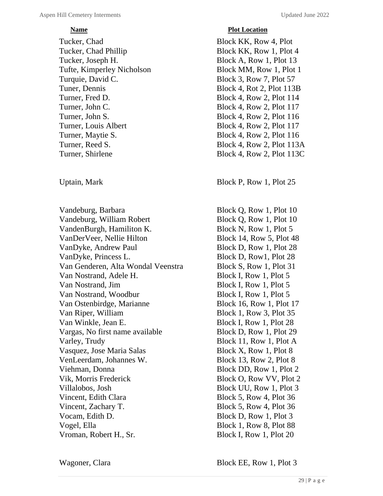Tucker, Chad Block KK, Row 4, Plot Tucker, Chad Phillip Block KK, Row 1, Plot 4 Tucker, Joseph H. Block A, Row 1, Plot 13 Tufte, Kimperley Nicholson Block MM, Row 1, Plot 1 Turquie, David C. Block 3, Row 7, Plot 57 Tuner, Dennis Block 4, Rot 2, Plot 113B Turner, Fred D. Block 4, Row 2, Plot 114 Turner, John C. Block 4, Row 2, Plot 117 Turner, John S. Block 4, Row 2, Plot 116 Turner, Louis Albert Block 4, Row 2, Plot 117 Turner, Maytie S. Block 4, Row 2, Plot 116 Turner, Reed S. Block 4, Row 2, Plot 113A Turner, Shirlene Block 4, Row 2, Plot 113C

Vandeburg, Barbara Block Q, Row 1, Plot 10 Vandeburg, William Robert Block Q, Row 1, Plot 10 VandenBurgh, Hamiliton K. Block N, Row 1, Plot 5 VanDerVeer, Nellie Hilton Block 14, Row 5, Plot 48 VanDyke, Andrew Paul Block D, Row 1, Plot 28 VanDyke, Princess L. Block D, Row1, Plot 28 Van Genderen, Alta Wondal Veenstra Block S, Row 1, Plot 31 Van Nostrand, Adele H. Block I, Row 1, Plot 5 Van Nostrand, Jim Block I, Row 1, Plot 5 Van Nostrand, Woodbur Block I, Row 1, Plot 5 Van Ostenbirdge, Marianne Block 16, Row 1, Plot 17 Van Riper, William Block 1, Row 3, Plot 35 Van Winkle, Jean E. Block I, Row 1, Plot 28 Vargas, No first name available Block D, Row 1, Plot 29 Varley, Trudy Block 11, Row 1, Plot A Vasquez, Jose Maria Salas Block X, Row 1, Plot 8 VenLeerdam, Johannes W. Block 13, Row 2, Plot 8 Viehman, Donna Block DD, Row 1, Plot 2 Vik, Morris Frederick Block O, Row VV, Plot 2 Villalobos, Josh Block UU, Row 1, Plot 3 Vincent, Edith Clara Block 5, Row 4, Plot 36 Vincent, Zachary T. Block 5, Row 4, Plot 36 Vocam, Edith D. Block D, Row 1, Plot 3 Vogel, Ella Block 1, Row 8, Plot 88 Vroman, Robert H., Sr. Block I, Row 1, Plot 20

# *<u>Plot Location</u>*

Uptain, Mark Block P, Row 1, Plot 25

Wagoner, Clara Block EE, Row 1, Plot 3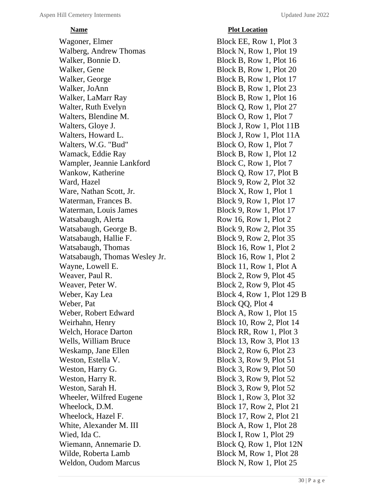Wagoner, Elmer Block EE, Row 1, Plot 3 Walberg, Andrew Thomas Block N, Row 1, Plot 19 Walker, Bonnie D. Block B, Row 1, Plot 16 Walker, Gene Block B, Row 1, Plot 20 Walker, George Block B, Row 1, Plot 17 Walker, JoAnn Block B, Row 1, Plot 23 Walker, LaMarr Ray Block B, Row 1, Plot 16 Walter, Ruth Evelyn Block Q, Row 1, Plot 27 Walters, Blendine M. Block O, Row 1, Plot 7 Walters, Gloye J. Block J, Row 1, Plot 11B Walters, Howard L. Block J, Row 1, Plot 11A Walters, W.G. "Bud" Block O, Row 1, Plot 7 Wamack, Eddie Ray Block B, Row 1, Plot 12 Wampler, Jeannie Lankford Block C, Row 1, Plot 7 Wankow, Katherine Block Q, Row 17, Plot B Ward, Hazel Block 9, Row 2, Plot 32 Ware, Nathan Scott, Jr. Block X, Row 1, Plot 1 Waterman, Frances B. Block 9, Row 1, Plot 17 Waterman, Louis James Block 9, Row 1, Plot 17 Watsabaugh, Alerta Row 16, Row 1, Plot 2 Watsabaugh, George B. Block 9, Row 2, Plot 35 Watsabaugh, Hallie F. Block 9, Row 2, Plot 35 Watsabaugh, Thomas Block 16, Row 1, Plot 2 Watsabaugh, Thomas Wesley Jr. Block 16, Row 1, Plot 2 Wayne, Lowell E. Block 11, Row 1, Plot A Weaver, Paul R. Block 2, Row 9, Plot 45 Weaver, Peter W. Block 2, Row 9, Plot 45 Weber, Kay Lea Block 4, Row 1, Plot 129 B Weber, Pat Block OO, Plot 4 Weber, Robert Edward Block A, Row 1, Plot 15 Weirhahn, Henry Block 10, Row 2, Plot 14 Welch, Horace Darton Block RR, Row 1, Plot 3 Wells, William Bruce Block 13, Row 3, Plot 13 Weskamp, Jane Ellen Block 2, Row 6, Plot 23 Weston, Estella V. Block 3, Row 9, Plot 51 Weston, Harry G. Block 3, Row 9, Plot 50 Weston, Harry R. Block 3, Row 9, Plot 52 Weston, Sarah H. Block 3, Row 9, Plot 52 Wheeler, Wilfred Eugene Block 1, Row 3, Plot 32 Wheelock, D.M. Block 17, Row 2, Plot 21 Wheelock, Hazel F. Block 17, Row 2, Plot 21 White, Alexander M. III Block A, Row 1, Plot 28 Wied, Ida C. Block I, Row 1, Plot 29 Wiemann, Annemarie D. Block Q, Row 1, Plot 12N Wilde, Roberta Lamb Block M, Row 1, Plot 28 Weldon, Oudom Marcus Block N, Row 1, Plot 25

# **Name Plot Location**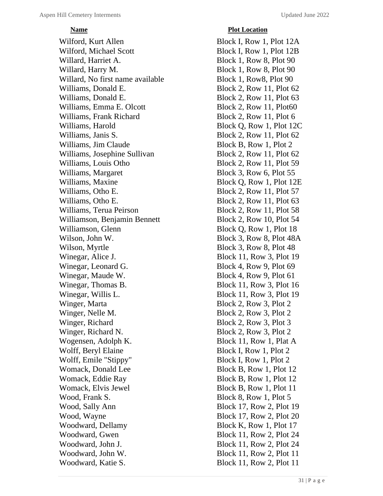Wilford, Kurt Allen Block I, Row 1, Plot 12A Wilford, Michael Scott Block I, Row 1, Plot 12B Willard, Harriet A. Block 1, Row 8, Plot 90 Willard, Harry M. Block 1, Row 8, Plot 90 Willard, No first name available Block 1, Row8, Plot 90 Williams, Donald E. Block 2, Row 11, Plot 62 Williams, Donald E. Block 2, Row 11, Plot 63 Williams, Emma E. Olcott Block 2, Row 11, Plot60 Williams, Frank Richard Block 2, Row 11, Plot 6 Williams, Harold Block Q, Row 1, Plot 12C Williams, Janis S. Block 2, Row 11, Plot 62 Williams, Jim Claude Block B, Row 1, Plot 2 Williams, Josephine Sullivan Block 2, Row 11, Plot 62 Williams, Louis Otho Block 2, Row 11, Plot 59 Williams, Margaret Block 3, Row 6, Plot 55 Williams, Maxine Block Q, Row 1, Plot 12E Williams, Otho E. Block 2, Row 11, Plot 57 Williams, Otho E. Block 2, Row 11, Plot 63 Williams, Terua Peirson Block 2, Row 11, Plot 58 Williamson, Benjamin Bennett Block 2, Row 10, Plot 54 Williamson, Glenn Block Q, Row 1, Plot 18 Wilson, John W. Block 3, Row 8, Plot 48A Wilson, Myrtle Block 3, Row 8, Plot 48 Winegar, Alice J. Block 11, Row 3, Plot 19 Winegar, Leonard G. Block 4, Row 9, Plot 69 Winegar, Maude W. Block 4, Row 9, Plot 61 Winegar, Thomas B. Block 11, Row 3, Plot 16 Winegar, Willis L. Block 11, Row 3, Plot 19 Winger, Marta Block 2, Row 3, Plot 2 Winger, Nelle M. Block 2, Row 3, Plot 2 Winger, Richard Block 2, Row 3, Plot 3 Winger, Richard N. Block 2, Row 3, Plot 2 Wogensen, Adolph K. Block 11, Row 1, Plat A Wolff, Beryl Elaine Block I, Row 1, Plot 2 Wolff, Emile "Stippy" Block I, Row 1, Plot 2 Womack, Donald Lee Block B, Row 1, Plot 12 Womack, Eddie Ray Block B, Row 1, Plot 12 Womack, Elvis Jewel Block B, Row 1, Plot 11 Wood, Frank S. Block 8, Row 1, Plot 5 Wood, Sally Ann Block 17, Row 2, Plot 19 Wood, Wayne Block 17, Row 2, Plot 20 Woodward, Dellamy Block K, Row 1, Plot 17 Woodward, Gwen Block 11, Row 2, Plot 24 Woodward, John J. Block 11, Row 2, Plot 24 Woodward, John W. Block 11, Row 2, Plot 11 Woodward, Katie S. Block 11, Row 2, Plot 11